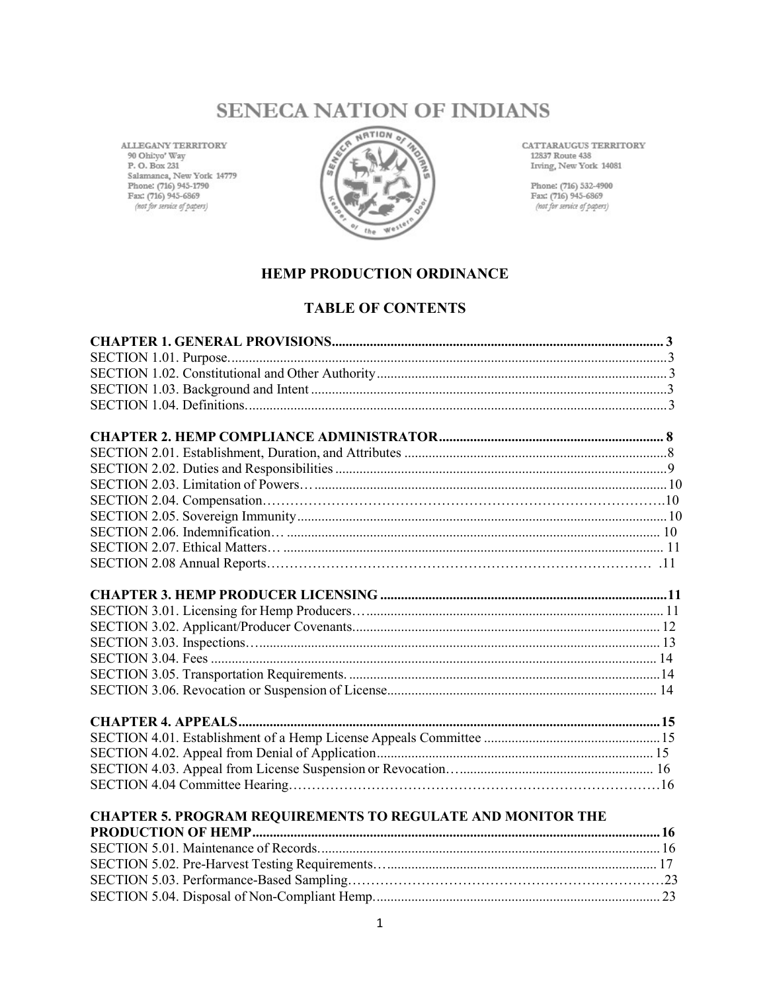# **SENECA NATION OF INDIANS**

ALLEGANY TERRITORY 90 Ohi:yo' Way P. O. Box 231 Salamanca, New York 14779 Phone: (716) 945-1790 Fax: (716) 945-6869 (not for service of papers)



CATTARAUGUS TERRITORY 12837 Route 438 Irving, New York 14081

Phone: (716) 532-4900 Fax: (716) 945-6869<br>
(not for service of papers)

### **HEMP PRODUCTION ORDINANCE**

#### **TABLE OF CONTENTS**

| CHAPTER 5. PROGRAM REQUIREMENTS TO REGULATE AND MONITOR THE |  |
|-------------------------------------------------------------|--|
|                                                             |  |
|                                                             |  |
|                                                             |  |
|                                                             |  |
|                                                             |  |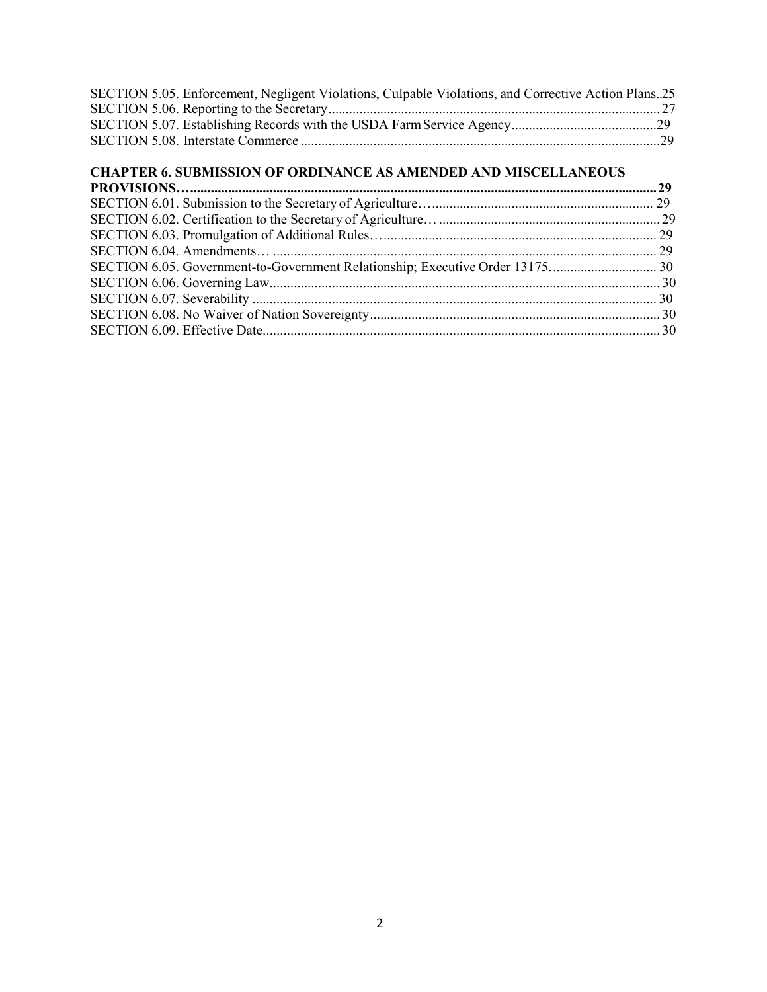| SECTION 5.05. Enforcement, Negligent Violations, Culpable Violations, and Corrective Action Plans25 |  |
|-----------------------------------------------------------------------------------------------------|--|
|                                                                                                     |  |
|                                                                                                     |  |
|                                                                                                     |  |

#### **CHAPTER 6. SUBMISSION OF ORDINANCE AS AMENDED AND MISCELLANEOUS PROVISIONS….......................................................................................................................................29**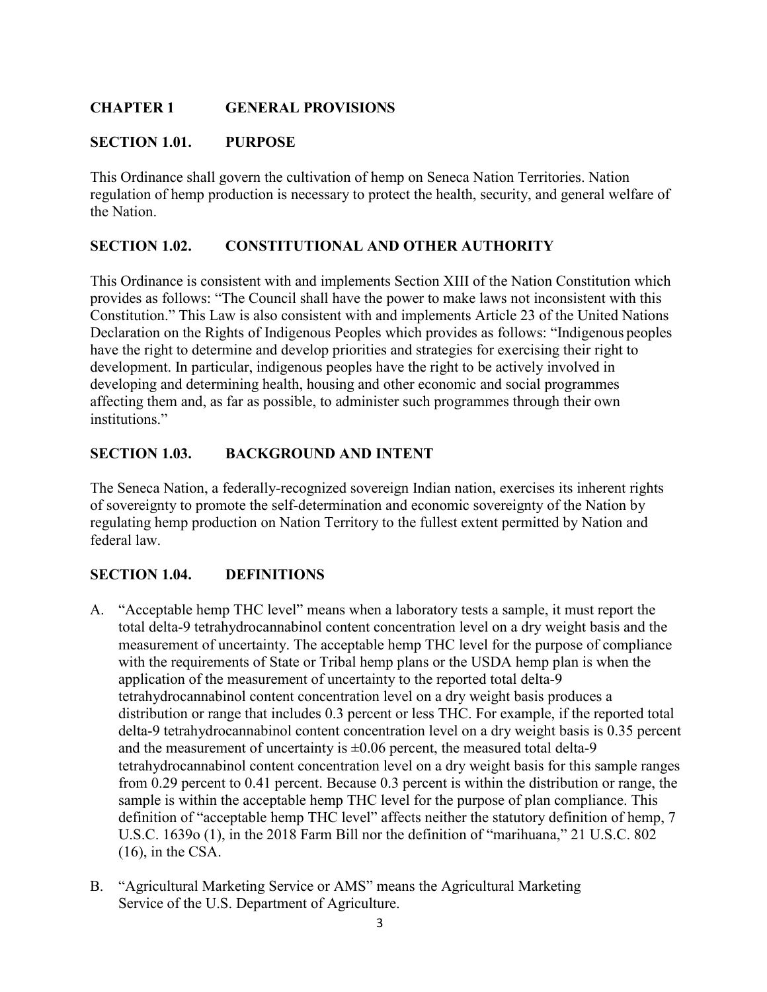# **CHAPTER 1 GENERAL PROVISIONS**

### **SECTION 1.01. PURPOSE**

This Ordinance shall govern the cultivation of hemp on Seneca Nation Territories. Nation regulation of hemp production is necessary to protect the health, security, and general welfare of the Nation.

### **SECTION 1.02. CONSTITUTIONAL AND OTHER AUTHORITY**

This Ordinance is consistent with and implements Section XIII of the Nation Constitution which provides as follows: "The Council shall have the power to make laws not inconsistent with this Constitution." This Law is also consistent with and implements Article 23 of the United Nations Declaration on the Rights of Indigenous Peoples which provides as follows: "Indigenous peoples have the right to determine and develop priorities and strategies for exercising their right to development. In particular, indigenous peoples have the right to be actively involved in developing and determining health, housing and other economic and social programmes affecting them and, as far as possible, to administer such programmes through their own institutions."

### **SECTION 1.03. BACKGROUND AND INTENT**

The Seneca Nation, a federally-recognized sovereign Indian nation, exercises its inherent rights of sovereignty to promote the self-determination and economic sovereignty of the Nation by regulating hemp production on Nation Territory to the fullest extent permitted by Nation and federal law.

### **SECTION 1.04. DEFINITIONS**

- A. "Acceptable hemp THC level" means when a laboratory tests a sample, it must report the total delta-9 tetrahydrocannabinol content concentration level on a dry weight basis and the measurement of uncertainty. The acceptable hemp THC level for the purpose of compliance with the requirements of State or Tribal hemp plans or the USDA hemp plan is when the application of the measurement of uncertainty to the reported total delta-9 tetrahydrocannabinol content concentration level on a dry weight basis produces a distribution or range that includes 0.3 percent or less THC. For example, if the reported total delta-9 tetrahydrocannabinol content concentration level on a dry weight basis is 0.35 percent and the measurement of uncertainty is  $\pm 0.06$  percent, the measured total delta-9 tetrahydrocannabinol content concentration level on a dry weight basis for this sample ranges from 0.29 percent to 0.41 percent. Because 0.3 percent is within the distribution or range, the sample is within the acceptable hemp THC level for the purpose of plan compliance. This definition of "acceptable hemp THC level" affects neither the statutory definition of hemp, 7 U.S.C. 1639o (1), in the 2018 Farm Bill nor the definition of "marihuana," 21 U.S.C. 802  $(16)$ , in the CSA.
- B. "Agricultural Marketing Service or AMS" means the Agricultural Marketing Service of the U.S. Department of Agriculture.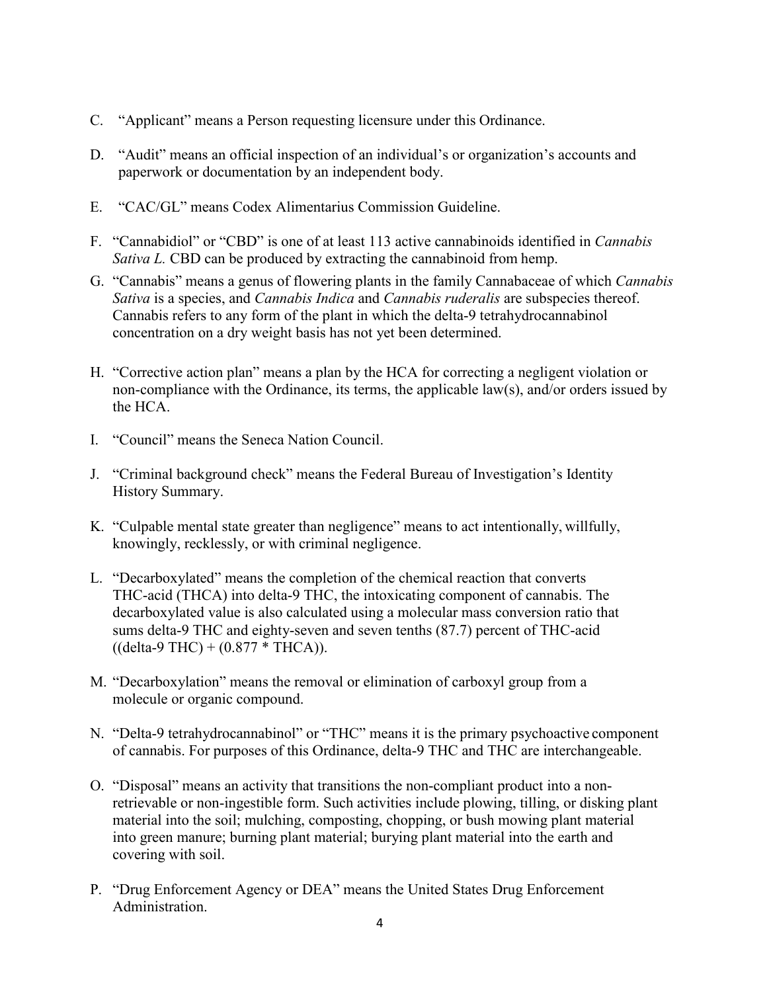- C. "Applicant" means a Person requesting licensure under this Ordinance.
- D. "Audit" means an official inspection of an individual's or organization's accounts and paperwork or documentation by an independent body.
- E. "CAC/GL" means Codex Alimentarius Commission Guideline.
- F. "Cannabidiol" or "CBD" is one of at least 113 active cannabinoids identified in *Cannabis Sativa L.* CBD can be produced by extracting the cannabinoid from hemp.
- G. "Cannabis" means a genus of flowering plants in the family Cannabaceae of which *Cannabis Sativa* is a species, and *Cannabis Indica* and *Cannabis ruderalis* are subspecies thereof. Cannabis refers to any form of the plant in which the delta-9 tetrahydrocannabinol concentration on a dry weight basis has not yet been determined.
- H. "Corrective action plan" means a plan by the HCA for correcting a negligent violation or non-compliance with the Ordinance, its terms, the applicable law(s), and/or orders issued by the HCA.
- I. "Council" means the Seneca Nation Council.
- J. "Criminal background check" means the Federal Bureau of Investigation's Identity History Summary.
- K. "Culpable mental state greater than negligence" means to act intentionally, willfully, knowingly, recklessly, or with criminal negligence.
- L. "Decarboxylated" means the completion of the chemical reaction that converts THC-acid (THCA) into delta-9 THC, the intoxicating component of cannabis. The decarboxylated value is also calculated using a molecular mass conversion ratio that sums delta-9 THC and eighty-seven and seven tenths (87.7) percent of THC-acid  $((delta-9 THC) + (0.877 * THCA)).$
- M. "Decarboxylation" means the removal or elimination of carboxyl group from a molecule or organic compound.
- N. "Delta-9 tetrahydrocannabinol" or "THC" means it is the primary psychoactive component of cannabis. For purposes of this Ordinance, delta-9 THC and THC are interchangeable.
- O. "Disposal" means an activity that transitions the non-compliant product into a nonretrievable or non-ingestible form. Such activities include plowing, tilling, or disking plant material into the soil; mulching, composting, chopping, or bush mowing plant material into green manure; burning plant material; burying plant material into the earth and covering with soil.
- P. "Drug Enforcement Agency or DEA" means the United States Drug Enforcement Administration.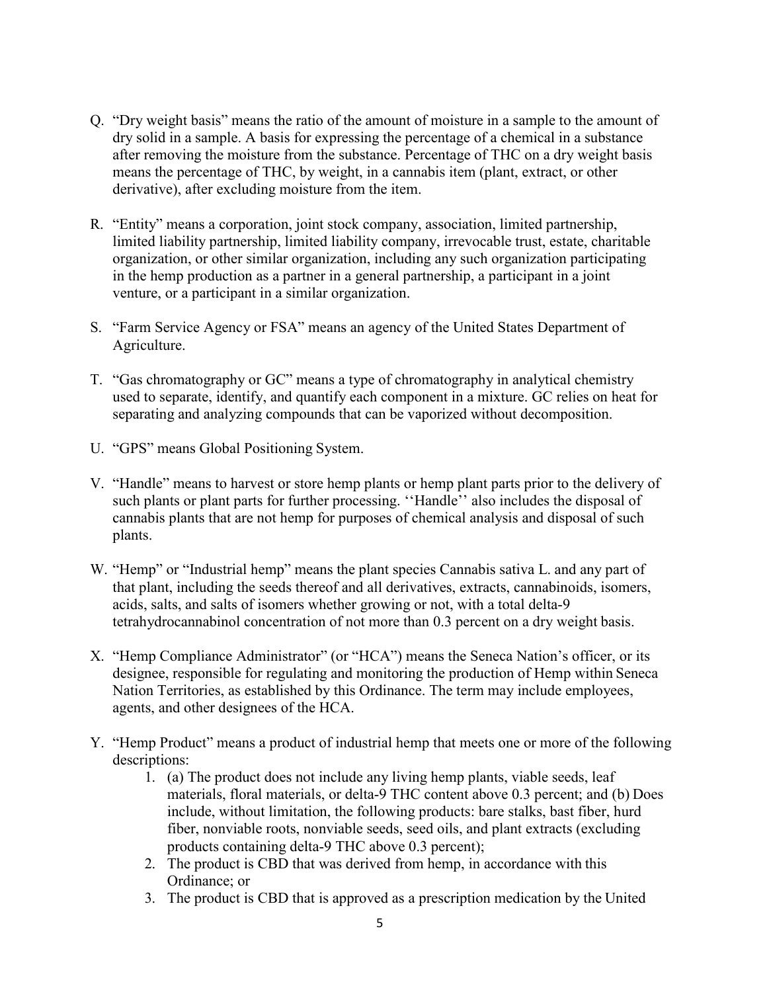- Q. "Dry weight basis" means the ratio of the amount of moisture in a sample to the amount of dry solid in a sample. A basis for expressing the percentage of a chemical in a substance after removing the moisture from the substance. Percentage of THC on a dry weight basis means the percentage of THC, by weight, in a cannabis item (plant, extract, or other derivative), after excluding moisture from the item.
- R. "Entity" means a corporation, joint stock company, association, limited partnership, limited liability partnership, limited liability company, irrevocable trust, estate, charitable organization, or other similar organization, including any such organization participating in the hemp production as a partner in a general partnership, a participant in a joint venture, or a participant in a similar organization.
- S. "Farm Service Agency or FSA" means an agency of the United States Department of Agriculture.
- T. "Gas chromatography or GC" means a type of chromatography in analytical chemistry used to separate, identify, and quantify each component in a mixture. GC relies on heat for separating and analyzing compounds that can be vaporized without decomposition.
- U. "GPS" means Global Positioning System.
- V. "Handle" means to harvest or store hemp plants or hemp plant parts prior to the delivery of such plants or plant parts for further processing. ''Handle'' also includes the disposal of cannabis plants that are not hemp for purposes of chemical analysis and disposal of such plants.
- W. "Hemp" or "Industrial hemp" means the plant species Cannabis sativa L. and any part of that plant, including the seeds thereof and all derivatives, extracts, cannabinoids, isomers, acids, salts, and salts of isomers whether growing or not, with a total delta-9 tetrahydrocannabinol concentration of not more than 0.3 percent on a dry weight basis.
- X. "Hemp Compliance Administrator" (or "HCA") means the Seneca Nation's officer, or its designee, responsible for regulating and monitoring the production of Hemp within Seneca Nation Territories, as established by this Ordinance. The term may include employees, agents, and other designees of the HCA.
- Y. "Hemp Product" means a product of industrial hemp that meets one or more of the following descriptions:
	- 1. (a) The product does not include any living hemp plants, viable seeds, leaf materials, floral materials, or delta-9 THC content above 0.3 percent; and (b) Does include, without limitation, the following products: bare stalks, bast fiber, hurd fiber, nonviable roots, nonviable seeds, seed oils, and plant extracts (excluding products containing delta-9 THC above 0.3 percent);
	- 2. The product is CBD that was derived from hemp, in accordance with this Ordinance; or
	- 3. The product is CBD that is approved as a prescription medication by the United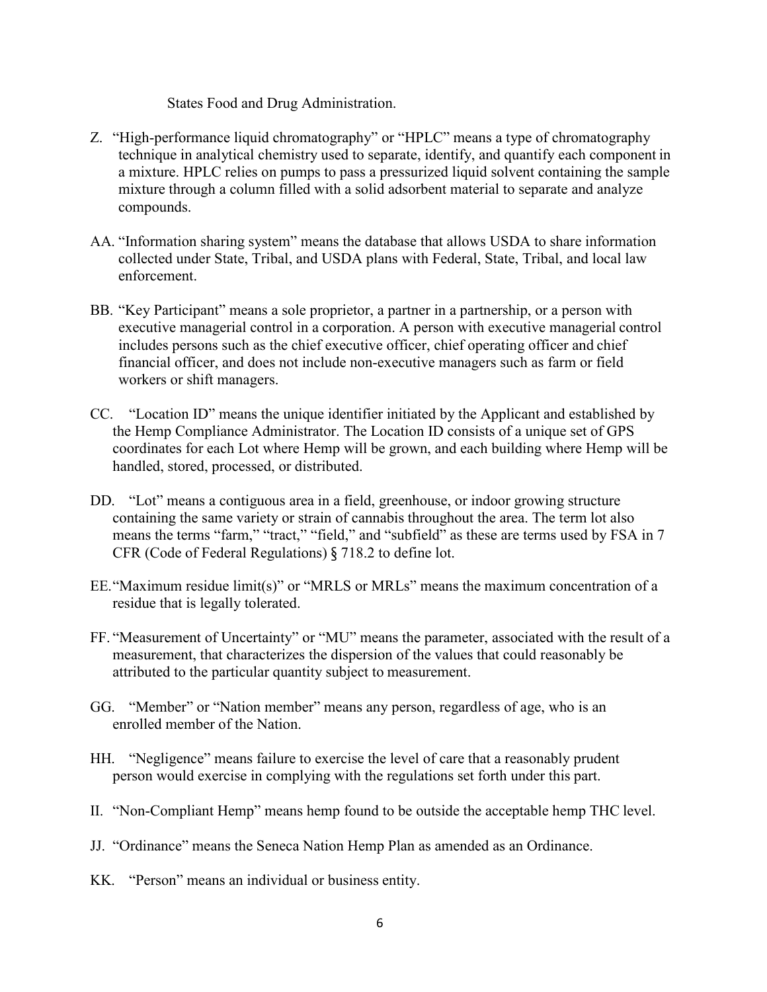States Food and Drug Administration.

- Z. "High-performance liquid chromatography" or "HPLC" means a type of chromatography technique in analytical chemistry used to separate, identify, and quantify each component in a mixture. HPLC relies on pumps to pass a pressurized liquid solvent containing the sample mixture through a column filled with a solid adsorbent material to separate and analyze compounds.
- AA. "Information sharing system" means the database that allows USDA to share information collected under State, Tribal, and USDA plans with Federal, State, Tribal, and local law enforcement.
- BB. "Key Participant" means a sole proprietor, a partner in a partnership, or a person with executive managerial control in a corporation. A person with executive managerial control includes persons such as the chief executive officer, chief operating officer and chief financial officer, and does not include non-executive managers such as farm or field workers or shift managers.
- CC. "Location ID" means the unique identifier initiated by the Applicant and established by the Hemp Compliance Administrator. The Location ID consists of a unique set of GPS coordinates for each Lot where Hemp will be grown, and each building where Hemp will be handled, stored, processed, or distributed.
- DD. "Lot" means a contiguous area in a field, greenhouse, or indoor growing structure containing the same variety or strain of cannabis throughout the area. The term lot also means the terms "farm," "tract," "field," and "subfield" as these are terms used by FSA in 7 CFR (Code of Federal Regulations) § 718.2 to define lot.
- EE."Maximum residue limit(s)" or "MRLS or MRLs" means the maximum concentration of a residue that is legally tolerated.
- FF. "Measurement of Uncertainty" or "MU" means the parameter, associated with the result of a measurement, that characterizes the dispersion of the values that could reasonably be attributed to the particular quantity subject to measurement.
- GG. "Member" or "Nation member" means any person, regardless of age, who is an enrolled member of the Nation.
- HH. "Negligence" means failure to exercise the level of care that a reasonably prudent person would exercise in complying with the regulations set forth under this part.
- II. "Non-Compliant Hemp" means hemp found to be outside the acceptable hemp THC level.
- JJ. "Ordinance" means the Seneca Nation Hemp Plan as amended as an Ordinance.
- KK. "Person" means an individual or business entity.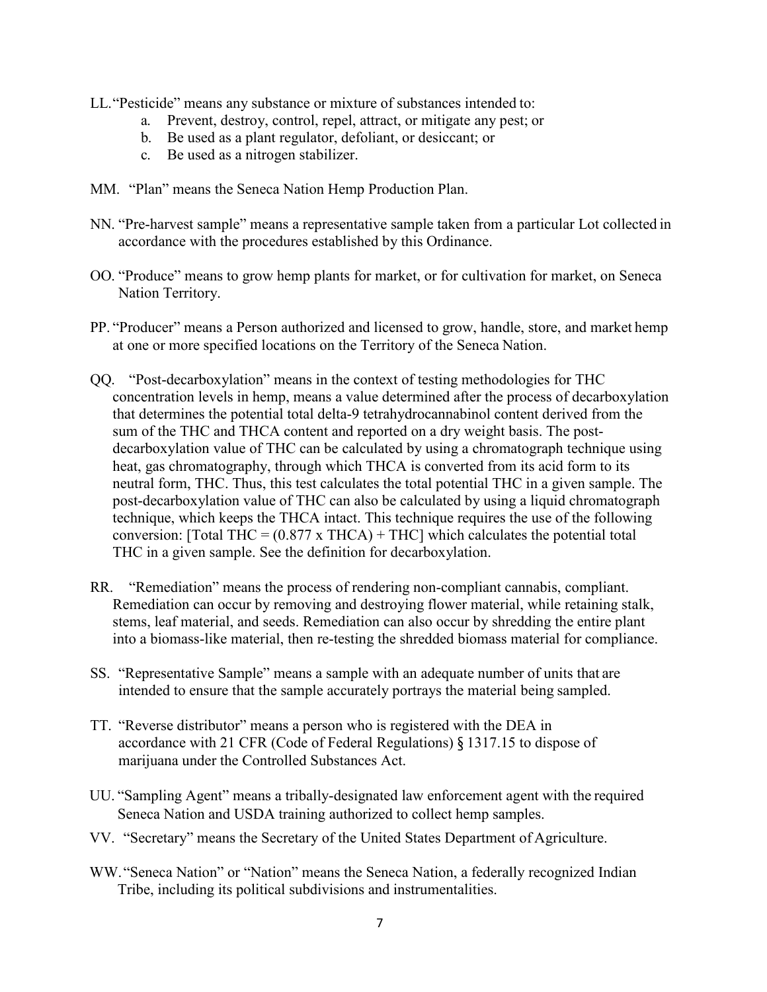- LL."Pesticide" means any substance or mixture of substances intended to:
	- a. Prevent, destroy, control, repel, attract, or mitigate any pest; or
	- b. Be used as a plant regulator, defoliant, or desiccant; or
	- c. Be used as a nitrogen stabilizer.
- MM. "Plan" means the Seneca Nation Hemp Production Plan.
- NN. "Pre-harvest sample" means a representative sample taken from a particular Lot collected in accordance with the procedures established by this Ordinance.
- OO. "Produce" means to grow hemp plants for market, or for cultivation for market, on Seneca Nation Territory.
- PP. "Producer" means a Person authorized and licensed to grow, handle, store, and market hemp at one or more specified locations on the Territory of the Seneca Nation.
- QQ. "Post-decarboxylation" means in the context of testing methodologies for THC concentration levels in hemp, means a value determined after the process of decarboxylation that determines the potential total delta-9 tetrahydrocannabinol content derived from the sum of the THC and THCA content and reported on a dry weight basis. The postdecarboxylation value of THC can be calculated by using a chromatograph technique using heat, gas chromatography, through which THCA is converted from its acid form to its neutral form, THC. Thus, this test calculates the total potential THC in a given sample. The post-decarboxylation value of THC can also be calculated by using a liquid chromatograph technique, which keeps the THCA intact. This technique requires the use of the following conversion: [Total THC =  $(0.877 \times THCA)$  + THC] which calculates the potential total THC in a given sample. See the definition for decarboxylation.
- RR. "Remediation" means the process of rendering non-compliant cannabis, compliant. Remediation can occur by removing and destroying flower material, while retaining stalk, stems, leaf material, and seeds. Remediation can also occur by shredding the entire plant into a biomass-like material, then re-testing the shredded biomass material for compliance.
- SS. "Representative Sample" means a sample with an adequate number of units that are intended to ensure that the sample accurately portrays the material being sampled.
- TT. "Reverse distributor" means a person who is registered with the DEA in accordance with 21 CFR (Code of Federal Regulations) § 1317.15 to dispose of marijuana under the Controlled Substances Act.
- UU. "Sampling Agent" means a tribally-designated law enforcement agent with the required Seneca Nation and USDA training authorized to collect hemp samples.
- VV. "Secretary" means the Secretary of the United States Department of Agriculture.
- WW."Seneca Nation" or "Nation" means the Seneca Nation, a federally recognized Indian Tribe, including its political subdivisions and instrumentalities.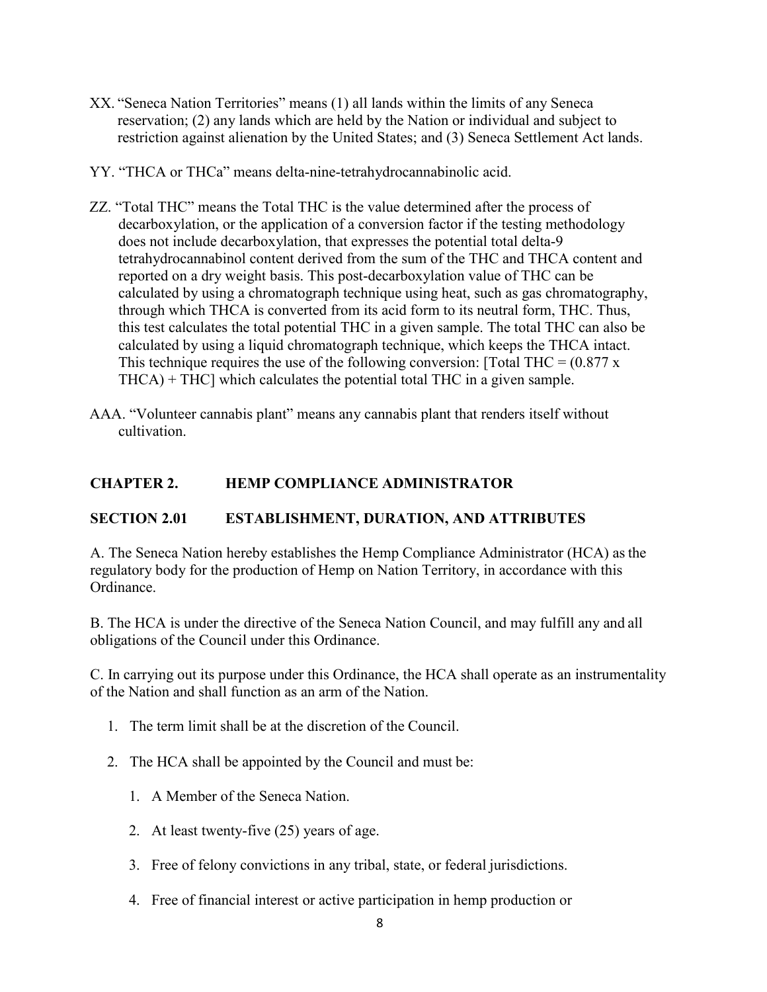- XX. "Seneca Nation Territories" means (1) all lands within the limits of any Seneca reservation; (2) any lands which are held by the Nation or individual and subject to restriction against alienation by the United States; and (3) Seneca Settlement Act lands.
- YY. "THCA or THCa" means delta-nine-tetrahydrocannabinolic acid.
- ZZ. "Total THC" means the Total THC is the value determined after the process of decarboxylation, or the application of a conversion factor if the testing methodology does not include decarboxylation, that expresses the potential total delta-9 tetrahydrocannabinol content derived from the sum of the THC and THCA content and reported on a dry weight basis. This post-decarboxylation value of THC can be calculated by using a chromatograph technique using heat, such as gas chromatography, through which THCA is converted from its acid form to its neutral form, THC. Thus, this test calculates the total potential THC in a given sample. The total THC can also be calculated by using a liquid chromatograph technique, which keeps the THCA intact. This technique requires the use of the following conversion: [Total THC =  $(0.877 \text{ x})$ ] THCA) + THC] which calculates the potential total THC in a given sample.
- AAA. "Volunteer cannabis plant" means any cannabis plant that renders itself without cultivation.

### **CHAPTER 2. HEMP COMPLIANCE ADMINISTRATOR**

### **SECTION 2.01 ESTABLISHMENT, DURATION, AND ATTRIBUTES**

A. The Seneca Nation hereby establishes the Hemp Compliance Administrator (HCA) asthe regulatory body for the production of Hemp on Nation Territory, in accordance with this Ordinance.

B. The HCA is under the directive of the Seneca Nation Council, and may fulfill any and all obligations of the Council under this Ordinance.

C. In carrying out its purpose under this Ordinance, the HCA shall operate as an instrumentality of the Nation and shall function as an arm of the Nation.

- 1. The term limit shall be at the discretion of the Council.
- 2. The HCA shall be appointed by the Council and must be:
	- 1. A Member of the Seneca Nation.
	- 2. At least twenty-five (25) years of age.
	- 3. Free of felony convictions in any tribal, state, or federal jurisdictions.
	- 4. Free of financial interest or active participation in hemp production or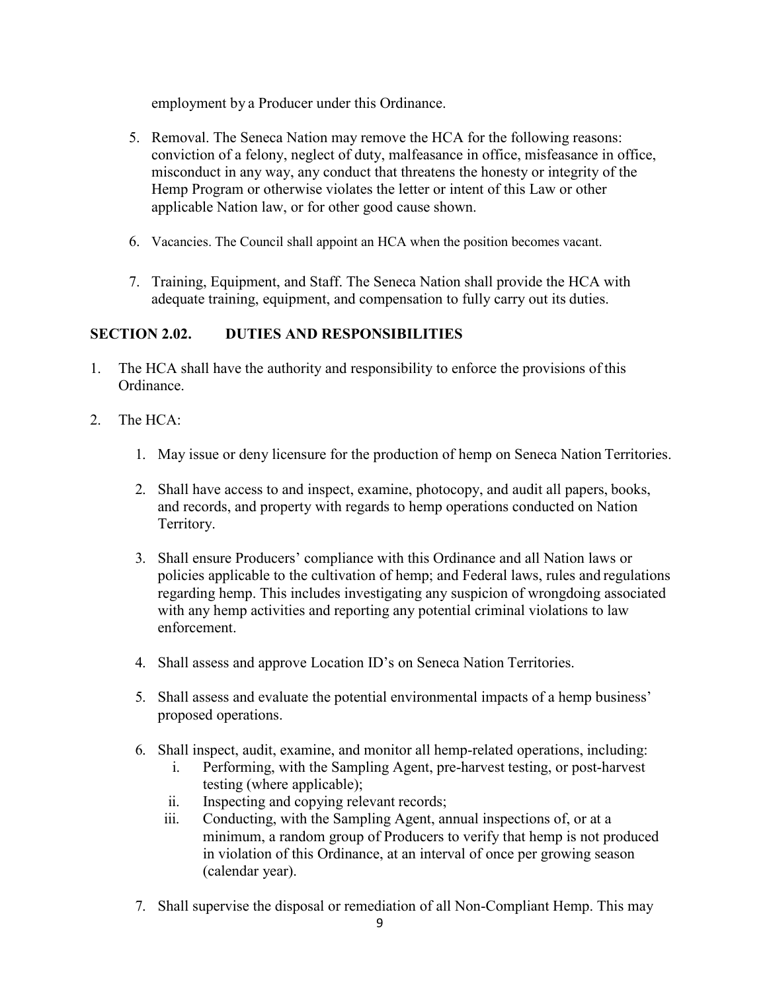employment by a Producer under this Ordinance.

- 5. Removal. The Seneca Nation may remove the HCA for the following reasons: conviction of a felony, neglect of duty, malfeasance in office, misfeasance in office, misconduct in any way, any conduct that threatens the honesty or integrity of the Hemp Program or otherwise violates the letter or intent of this Law or other applicable Nation law, or for other good cause shown.
- 6. Vacancies. The Council shall appoint an HCA when the position becomes vacant.
- 7. Training, Equipment, and Staff. The Seneca Nation shall provide the HCA with adequate training, equipment, and compensation to fully carry out its duties.

# **SECTION 2.02. DUTIES AND RESPONSIBILITIES**

- 1. The HCA shall have the authority and responsibility to enforce the provisions of this Ordinance.
- 2. The HCA:
	- 1. May issue or deny licensure for the production of hemp on Seneca Nation Territories.
	- 2. Shall have access to and inspect, examine, photocopy, and audit all papers, books, and records, and property with regards to hemp operations conducted on Nation Territory.
	- 3. Shall ensure Producers' compliance with this Ordinance and all Nation laws or policies applicable to the cultivation of hemp; and Federal laws, rules and regulations regarding hemp. This includes investigating any suspicion of wrongdoing associated with any hemp activities and reporting any potential criminal violations to law enforcement.
	- 4. Shall assess and approve Location ID's on Seneca Nation Territories.
	- 5. Shall assess and evaluate the potential environmental impacts of a hemp business' proposed operations.
	- 6. Shall inspect, audit, examine, and monitor all hemp-related operations, including:
		- i. Performing, with the Sampling Agent, pre-harvest testing, or post-harvest testing (where applicable);
		- ii. Inspecting and copying relevant records;
		- iii. Conducting, with the Sampling Agent, annual inspections of, or at a minimum, a random group of Producers to verify that hemp is not produced in violation of this Ordinance, at an interval of once per growing season (calendar year).
	- 7. Shall supervise the disposal or remediation of all Non-Compliant Hemp. This may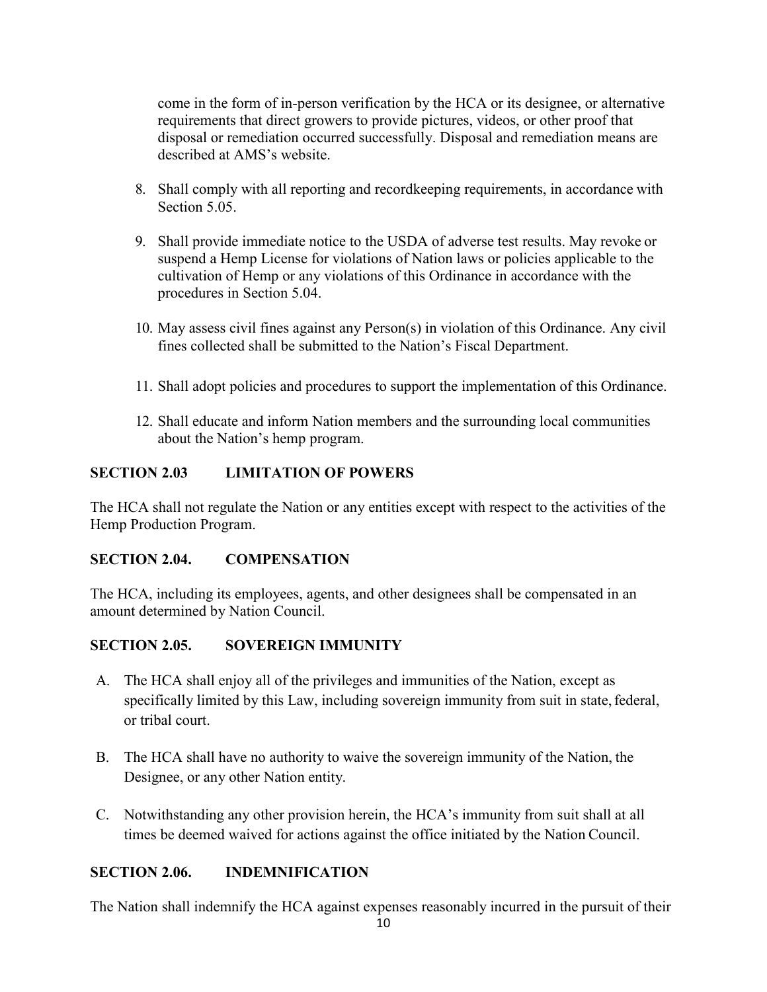come in the form of in-person verification by the HCA or its designee, or alternative requirements that direct growers to provide pictures, videos, or other proof that disposal or remediation occurred successfully. Disposal and remediation means are described at AMS's website.

- 8. Shall comply with all reporting and recordkeeping requirements, in accordance with Section 5.05.
- 9. Shall provide immediate notice to the USDA of adverse test results. May revoke or suspend a Hemp License for violations of Nation laws or policies applicable to the cultivation of Hemp or any violations of this Ordinance in accordance with the procedures in Section 5.04.
- 10. May assess civil fines against any Person(s) in violation of this Ordinance. Any civil fines collected shall be submitted to the Nation's Fiscal Department.
- 11. Shall adopt policies and procedures to support the implementation of this Ordinance.
- 12. Shall educate and inform Nation members and the surrounding local communities about the Nation's hemp program.

# **SECTION 2.03 LIMITATION OF POWERS**

The HCA shall not regulate the Nation or any entities except with respect to the activities of the Hemp Production Program.

# **SECTION 2.04. COMPENSATION**

The HCA, including its employees, agents, and other designees shall be compensated in an amount determined by Nation Council.

# **SECTION 2.05. SOVEREIGN IMMUNITY**

- A. The HCA shall enjoy all of the privileges and immunities of the Nation, except as specifically limited by this Law, including sovereign immunity from suit in state, federal, or tribal court.
- B. The HCA shall have no authority to waive the sovereign immunity of the Nation, the Designee, or any other Nation entity.
- C. Notwithstanding any other provision herein, the HCA's immunity from suit shall at all times be deemed waived for actions against the office initiated by the Nation Council.

# **SECTION 2.06. INDEMNIFICATION**

The Nation shall indemnify the HCA against expenses reasonably incurred in the pursuit of their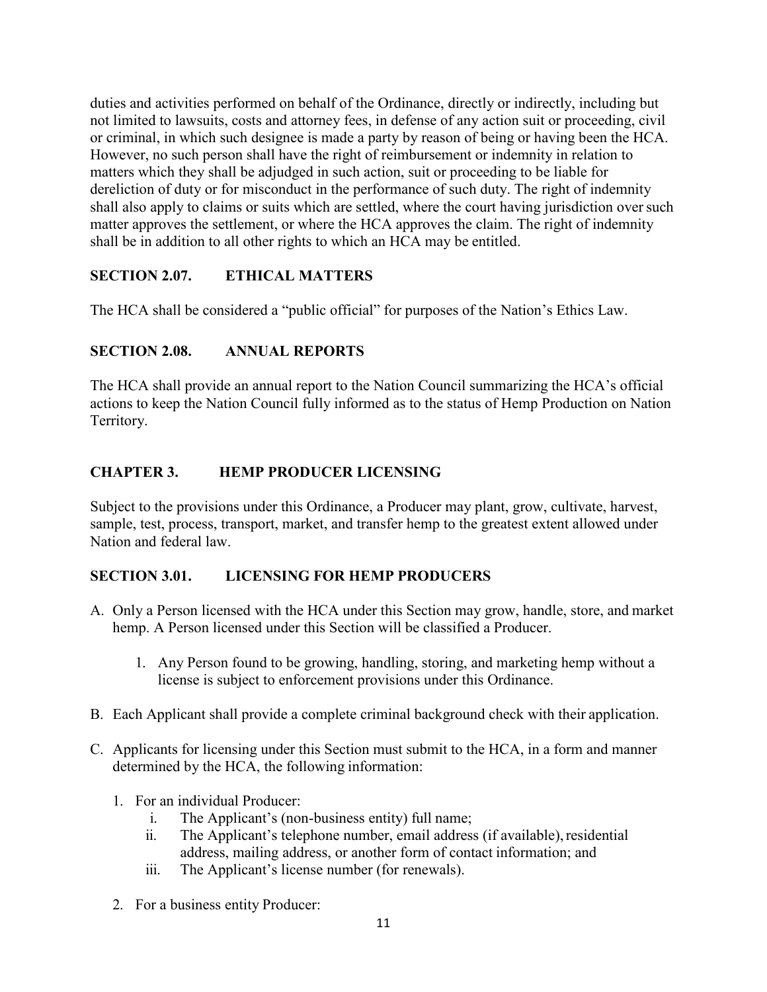duties and activities performed on behalf of the Ordinance, directly or indirectly, including but not limited to lawsuits, costs and attorney fees, in defense of any action suit or proceeding, civil or criminal, in which such designee is made a party by reason of being or having been the HCA. However, no such person shall have the right of reimbursement or indemnity in relation to matters which they shall be adjudged in such action, suit or proceeding to be liable for dereliction of duty or for misconduct in the performance of such duty. The right of indemnity shall also apply to claims or suits which are settled, where the court having jurisdiction oversuch matter approves the settlement, or where the HCA approves the claim. The right of indemnity shall be in addition to all other rights to which an HCA may be entitled.

# **SECTION 2.07. ETHICAL MATTERS**

The HCA shall be considered a "public official" for purposes of the Nation's Ethics Law.

# **SECTION 2.08. ANNUAL REPORTS**

The HCA shall provide an annual report to the Nation Council summarizing the HCA's official actions to keep the Nation Council fully informed as to the status of Hemp Production on Nation Territory.

# **CHAPTER 3. HEMP PRODUCER LICENSING**

Subject to the provisions under this Ordinance, a Producer may plant, grow, cultivate, harvest, sample, test, process, transport, market, and transfer hemp to the greatest extent allowed under Nation and federal law.

# **SECTION 3.01. LICENSING FOR HEMP PRODUCERS**

- A. Only a Person licensed with the HCA under this Section may grow, handle, store, and market hemp. A Person licensed under this Section will be classified a Producer.
	- 1. Any Person found to be growing, handling, storing, and marketing hemp without a license is subject to enforcement provisions under this Ordinance.
- B. Each Applicant shall provide a complete criminal background check with their application.
- C. Applicants for licensing under this Section must submit to the HCA, in a form and manner determined by the HCA, the following information:
	- 1. For an individual Producer:
		- i. The Applicant's (non-business entity) full name;
		- ii. The Applicant's telephone number, email address (if available), residential address, mailing address, or another form of contact information; and
		- iii. The Applicant's license number (for renewals).
	- 2. For a business entity Producer: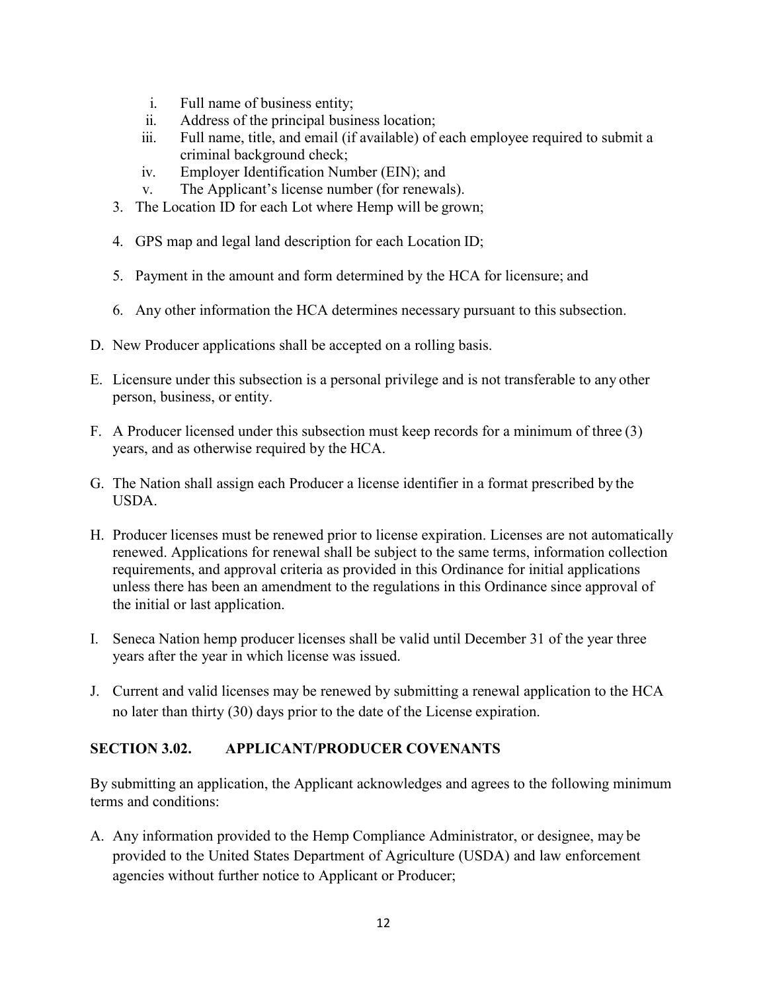- i. Full name of business entity;
- ii. Address of the principal business location;
- iii. Full name, title, and email (if available) of each employee required to submit a criminal background check;
- iv. Employer Identification Number (EIN); and
- v. The Applicant's license number (for renewals).
- 3. The Location ID for each Lot where Hemp will be grown;
- 4. GPS map and legal land description for each Location ID;
- 5. Payment in the amount and form determined by the HCA for licensure; and
- 6. Any other information the HCA determines necessary pursuant to this subsection.
- D. New Producer applications shall be accepted on a rolling basis.
- E. Licensure under this subsection is a personal privilege and is not transferable to any other person, business, or entity.
- F. A Producer licensed under this subsection must keep records for a minimum of three (3) years, and as otherwise required by the HCA.
- G. The Nation shall assign each Producer a license identifier in a format prescribed by the USDA.
- H. Producer licenses must be renewed prior to license expiration. Licenses are not automatically renewed. Applications for renewal shall be subject to the same terms, information collection requirements, and approval criteria as provided in this Ordinance for initial applications unless there has been an amendment to the regulations in this Ordinance since approval of the initial or last application.
- I. Seneca Nation hemp producer licenses shall be valid until December 31 of the year three years after the year in which license was issued.
- J. Current and valid licenses may be renewed by submitting a renewal application to the HCA no later than thirty (30) days prior to the date of the License expiration.

# **SECTION 3.02. APPLICANT/PRODUCER COVENANTS**

By submitting an application, the Applicant acknowledges and agrees to the following minimum terms and conditions:

A. Any information provided to the Hemp Compliance Administrator, or designee, may be provided to the United States Department of Agriculture (USDA) and law enforcement agencies without further notice to Applicant or Producer;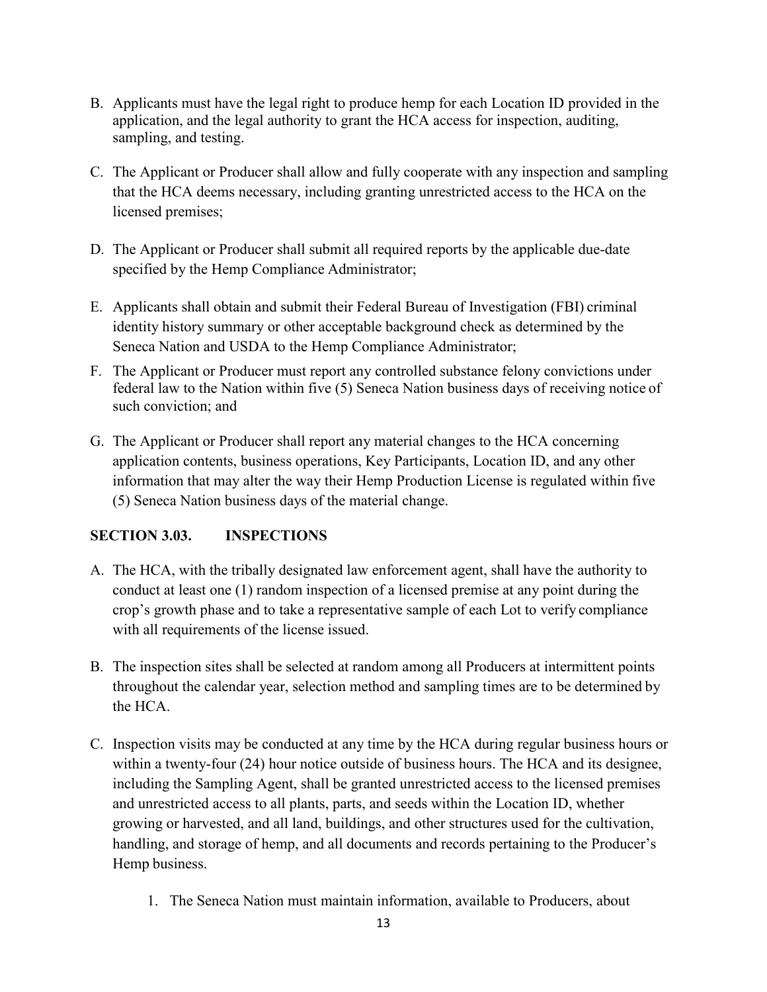- B. Applicants must have the legal right to produce hemp for each Location ID provided in the application, and the legal authority to grant the HCA access for inspection, auditing, sampling, and testing.
- C. The Applicant or Producer shall allow and fully cooperate with any inspection and sampling that the HCA deems necessary, including granting unrestricted access to the HCA on the licensed premises;
- D. The Applicant or Producer shall submit all required reports by the applicable due-date specified by the Hemp Compliance Administrator;
- E. Applicants shall obtain and submit their Federal Bureau of Investigation (FBI) criminal identity history summary or other acceptable background check as determined by the Seneca Nation and USDA to the Hemp Compliance Administrator;
- F. The Applicant or Producer must report any controlled substance felony convictions under federal law to the Nation within five (5) Seneca Nation business days of receiving notice of such conviction; and
- G. The Applicant or Producer shall report any material changes to the HCA concerning application contents, business operations, Key Participants, Location ID, and any other information that may alter the way their Hemp Production License is regulated within five (5) Seneca Nation business days of the material change.

# **SECTION 3.03. INSPECTIONS**

- A. The HCA, with the tribally designated law enforcement agent, shall have the authority to conduct at least one (1) random inspection of a licensed premise at any point during the crop's growth phase and to take a representative sample of each Lot to verify compliance with all requirements of the license issued.
- B. The inspection sites shall be selected at random among all Producers at intermittent points throughout the calendar year, selection method and sampling times are to be determined by the HCA.
- C. Inspection visits may be conducted at any time by the HCA during regular business hours or within a twenty-four (24) hour notice outside of business hours. The HCA and its designee, including the Sampling Agent, shall be granted unrestricted access to the licensed premises and unrestricted access to all plants, parts, and seeds within the Location ID, whether growing or harvested, and all land, buildings, and other structures used for the cultivation, handling, and storage of hemp, and all documents and records pertaining to the Producer's Hemp business.
	- 1. The Seneca Nation must maintain information, available to Producers, about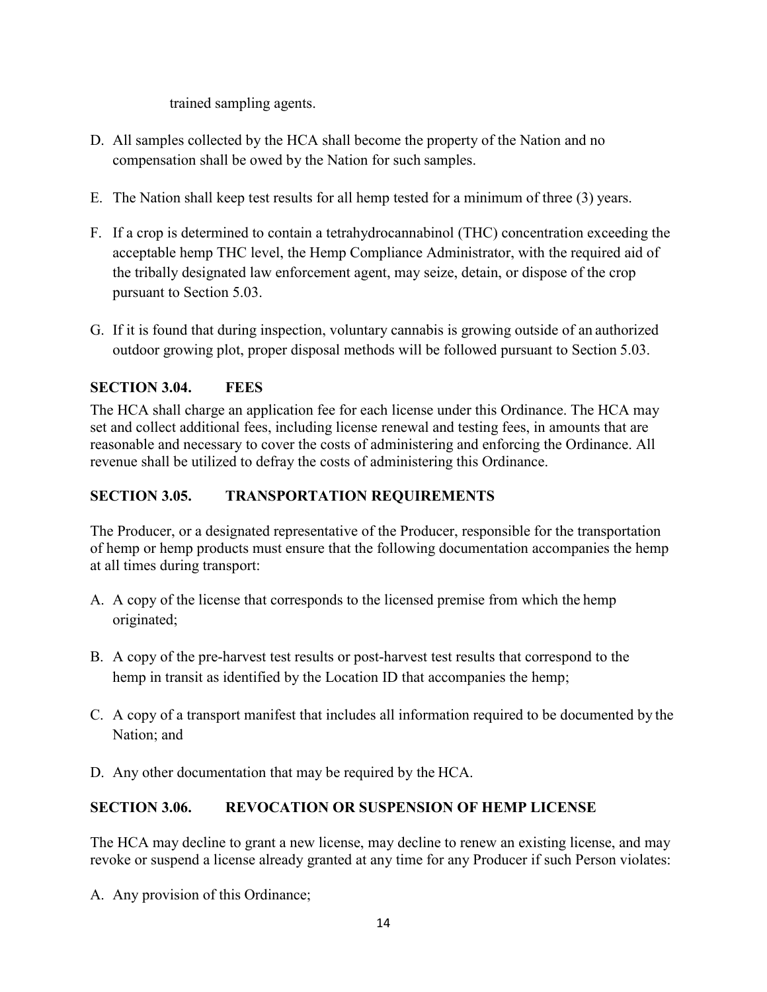trained sampling agents.

- D. All samples collected by the HCA shall become the property of the Nation and no compensation shall be owed by the Nation for such samples.
- E. The Nation shall keep test results for all hemp tested for a minimum of three (3) years.
- F. If a crop is determined to contain a tetrahydrocannabinol (THC) concentration exceeding the acceptable hemp THC level, the Hemp Compliance Administrator, with the required aid of the tribally designated law enforcement agent, may seize, detain, or dispose of the crop pursuant to Section 5.03.
- G. If it is found that during inspection, voluntary cannabis is growing outside of an authorized outdoor growing plot, proper disposal methods will be followed pursuant to Section 5.03.

# **SECTION 3.04. FEES**

The HCA shall charge an application fee for each license under this Ordinance. The HCA may set and collect additional fees, including license renewal and testing fees, in amounts that are reasonable and necessary to cover the costs of administering and enforcing the Ordinance. All revenue shall be utilized to defray the costs of administering this Ordinance.

# **SECTION 3.05. TRANSPORTATION REQUIREMENTS**

The Producer, or a designated representative of the Producer, responsible for the transportation of hemp or hemp products must ensure that the following documentation accompanies the hemp at all times during transport:

- A. A copy of the license that corresponds to the licensed premise from which the hemp originated;
- B. A copy of the pre-harvest test results or post-harvest test results that correspond to the hemp in transit as identified by the Location ID that accompanies the hemp;
- C. A copy of a transport manifest that includes all information required to be documented by the Nation; and
- D. Any other documentation that may be required by the HCA.

# **SECTION 3.06. REVOCATION OR SUSPENSION OF HEMP LICENSE**

The HCA may decline to grant a new license, may decline to renew an existing license, and may revoke or suspend a license already granted at any time for any Producer if such Person violates:

A. Any provision of this Ordinance;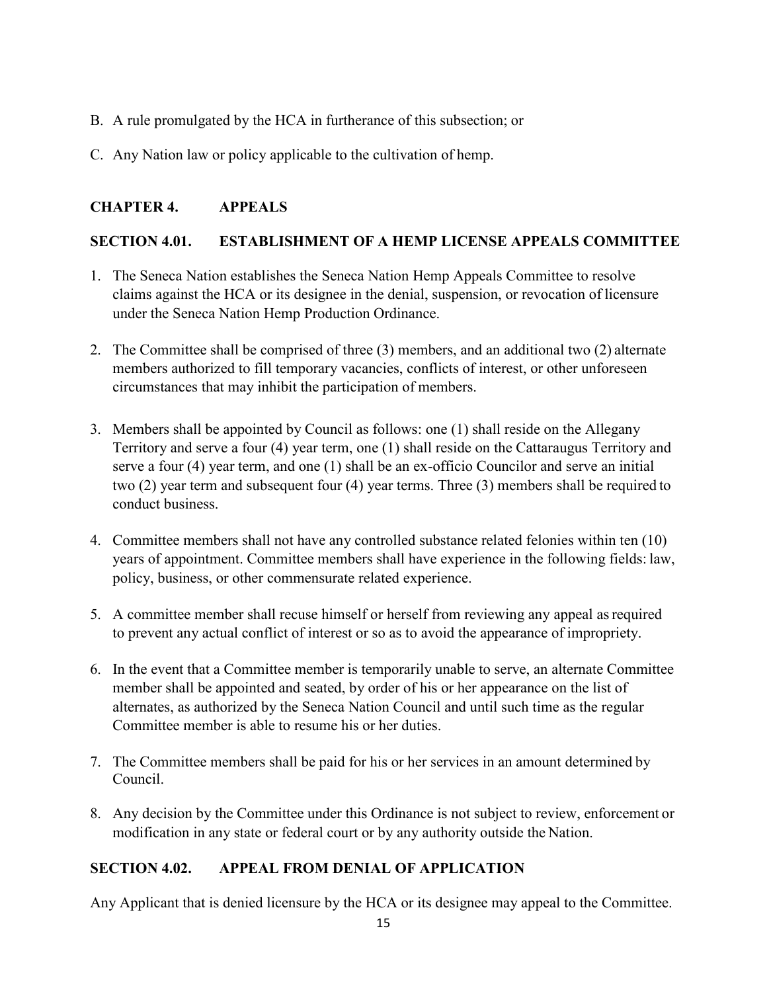- B. A rule promulgated by the HCA in furtherance of this subsection; or
- C. Any Nation law or policy applicable to the cultivation of hemp.

# **CHAPTER 4. APPEALS**

# **SECTION 4.01. ESTABLISHMENT OF A HEMP LICENSE APPEALS COMMITTEE**

- 1. The Seneca Nation establishes the Seneca Nation Hemp Appeals Committee to resolve claims against the HCA or its designee in the denial, suspension, or revocation of licensure under the Seneca Nation Hemp Production Ordinance.
- 2. The Committee shall be comprised of three (3) members, and an additional two (2) alternate members authorized to fill temporary vacancies, conflicts of interest, or other unforeseen circumstances that may inhibit the participation of members.
- 3. Members shall be appointed by Council as follows: one (1) shall reside on the Allegany Territory and serve a four (4) year term, one (1) shall reside on the Cattaraugus Territory and serve a four (4) year term, and one (1) shall be an ex-officio Councilor and serve an initial two (2) year term and subsequent four (4) year terms. Three (3) members shall be required to conduct business.
- 4. Committee members shall not have any controlled substance related felonies within ten (10) years of appointment. Committee members shall have experience in the following fields: law, policy, business, or other commensurate related experience.
- 5. A committee member shall recuse himself or herself from reviewing any appeal asrequired to prevent any actual conflict of interest or so as to avoid the appearance of impropriety.
- 6. In the event that a Committee member is temporarily unable to serve, an alternate Committee member shall be appointed and seated, by order of his or her appearance on the list of alternates, as authorized by the Seneca Nation Council and until such time as the regular Committee member is able to resume his or her duties.
- 7. The Committee members shall be paid for his or her services in an amount determined by Council.
- 8. Any decision by the Committee under this Ordinance is not subject to review, enforcement or modification in any state or federal court or by any authority outside the Nation.

# **SECTION 4.02. APPEAL FROM DENIAL OF APPLICATION**

Any Applicant that is denied licensure by the HCA or its designee may appeal to the Committee.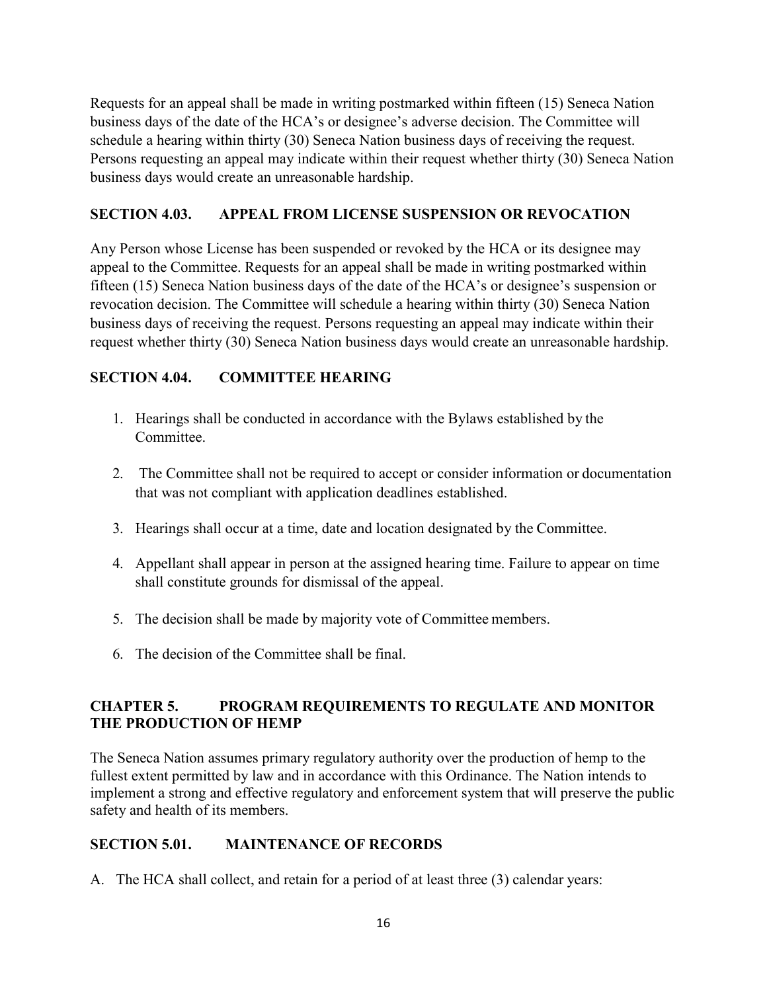Requests for an appeal shall be made in writing postmarked within fifteen (15) Seneca Nation business days of the date of the HCA's or designee's adverse decision. The Committee will schedule a hearing within thirty (30) Seneca Nation business days of receiving the request. Persons requesting an appeal may indicate within their request whether thirty (30) Seneca Nation business days would create an unreasonable hardship.

# **SECTION 4.03. APPEAL FROM LICENSE SUSPENSION OR REVOCATION**

Any Person whose License has been suspended or revoked by the HCA or its designee may appeal to the Committee. Requests for an appeal shall be made in writing postmarked within fifteen (15) Seneca Nation business days of the date of the HCA's or designee's suspension or revocation decision. The Committee will schedule a hearing within thirty (30) Seneca Nation business days of receiving the request. Persons requesting an appeal may indicate within their request whether thirty (30) Seneca Nation business days would create an unreasonable hardship.

# **SECTION 4.04. COMMITTEE HEARING**

- 1. Hearings shall be conducted in accordance with the Bylaws established by the Committee.
- 2. The Committee shall not be required to accept or consider information or documentation that was not compliant with application deadlines established.
- 3. Hearings shall occur at a time, date and location designated by the Committee.
- 4. Appellant shall appear in person at the assigned hearing time. Failure to appear on time shall constitute grounds for dismissal of the appeal.
- 5. The decision shall be made by majority vote of Committee members.
- 6. The decision of the Committee shall be final.

# **CHAPTER 5. PROGRAM REQUIREMENTS TO REGULATE AND MONITOR THE PRODUCTION OF HEMP**

The Seneca Nation assumes primary regulatory authority over the production of hemp to the fullest extent permitted by law and in accordance with this Ordinance. The Nation intends to implement a strong and effective regulatory and enforcement system that will preserve the public safety and health of its members.

# **SECTION 5.01. MAINTENANCE OF RECORDS**

A. The HCA shall collect, and retain for a period of at least three (3) calendar years: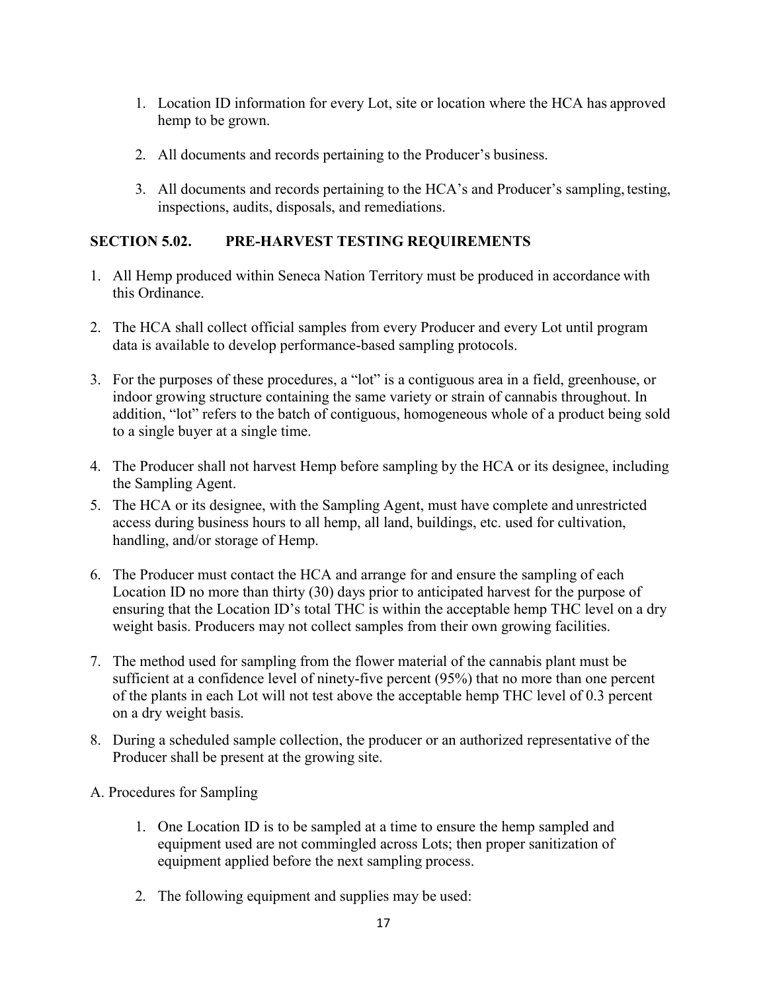- 1. Location ID information for every Lot, site or location where the HCA has approved hemp to be grown.
- 2. All documents and records pertaining to the Producer's business.
- 3. All documents and records pertaining to the HCA's and Producer's sampling, testing, inspections, audits, disposals, and remediations.

# **SECTION 5.02. PRE-HARVEST TESTING REQUIREMENTS**

- 1. All Hemp produced within Seneca Nation Territory must be produced in accordance with this Ordinance.
- 2. The HCA shall collect official samples from every Producer and every Lot until program data is available to develop performance-based sampling protocols.
- 3. For the purposes of these procedures, a "lot" is a contiguous area in a field, greenhouse, or indoor growing structure containing the same variety or strain of cannabis throughout. In addition, "lot" refers to the batch of contiguous, homogeneous whole of a product being sold to a single buyer at a single time.
- 4. The Producer shall not harvest Hemp before sampling by the HCA or its designee, including the Sampling Agent.
- 5. The HCA or its designee, with the Sampling Agent, must have complete and unrestricted access during business hours to all hemp, all land, buildings, etc. used for cultivation, handling, and/or storage of Hemp.
- 6. The Producer must contact the HCA and arrange for and ensure the sampling of each Location ID no more than thirty (30) days prior to anticipated harvest for the purpose of ensuring that the Location ID's total THC is within the acceptable hemp THC level on a dry weight basis. Producers may not collect samples from their own growing facilities.
- 7. The method used for sampling from the flower material of the cannabis plant must be sufficient at a confidence level of ninety-five percent (95%) that no more than one percent of the plants in each Lot will not test above the acceptable hemp THC level of 0.3 percent on a dry weight basis.
- 8. During a scheduled sample collection, the producer or an authorized representative of the Producer shall be present at the growing site.
- A. Procedures for Sampling
	- 1. One Location ID is to be sampled at a time to ensure the hemp sampled and equipment used are not commingled across Lots; then proper sanitization of equipment applied before the next sampling process.
	- 2. The following equipment and supplies may be used: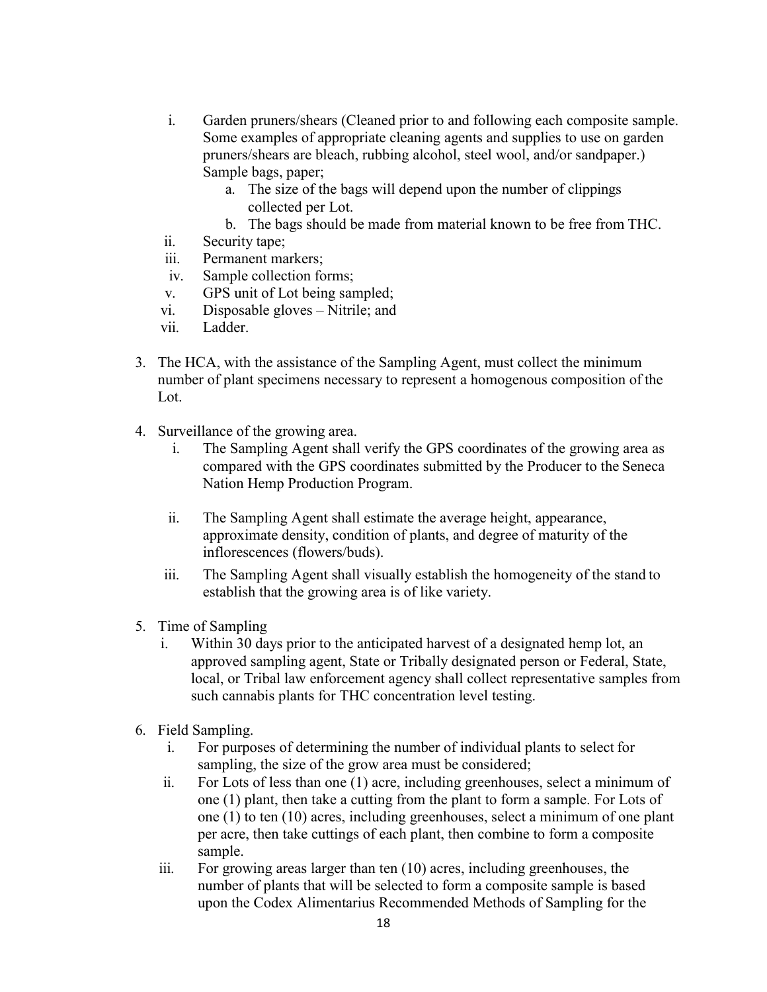- i. Garden pruners/shears (Cleaned prior to and following each composite sample. Some examples of appropriate cleaning agents and supplies to use on garden pruners/shears are bleach, rubbing alcohol, steel wool, and/or sandpaper.) Sample bags, paper;
	- a. The size of the bags will depend upon the number of clippings collected per Lot.
	- b. The bags should be made from material known to be free from THC.
- ii. Security tape;
- iii. Permanent markers;
- iv. Sample collection forms;
- v. GPS unit of Lot being sampled;
- vi. Disposable gloves Nitrile; and
- vii. Ladder.
- 3. The HCA, with the assistance of the Sampling Agent, must collect the minimum number of plant specimens necessary to represent a homogenous composition of the Lot.
- 4. Surveillance of the growing area.
	- i. The Sampling Agent shall verify the GPS coordinates of the growing area as compared with the GPS coordinates submitted by the Producer to the Seneca Nation Hemp Production Program.
	- ii. The Sampling Agent shall estimate the average height, appearance, approximate density, condition of plants, and degree of maturity of the inflorescences (flowers/buds).
	- iii. The Sampling Agent shall visually establish the homogeneity of the stand to establish that the growing area is of like variety.
- 5. Time of Sampling
	- i. Within 30 days prior to the anticipated harvest of a designated hemp lot, an approved sampling agent, State or Tribally designated person or Federal, State, local, or Tribal law enforcement agency shall collect representative samples from such cannabis plants for THC concentration level testing.
- 6. Field Sampling.
	- i. For purposes of determining the number of individual plants to select for sampling, the size of the grow area must be considered;
	- ii. For Lots of less than one (1) acre, including greenhouses, select a minimum of one (1) plant, then take a cutting from the plant to form a sample. For Lots of one (1) to ten (10) acres, including greenhouses, select a minimum of one plant per acre, then take cuttings of each plant, then combine to form a composite sample.
	- iii. For growing areas larger than ten (10) acres, including greenhouses, the number of plants that will be selected to form a composite sample is based upon the Codex Alimentarius Recommended Methods of Sampling for the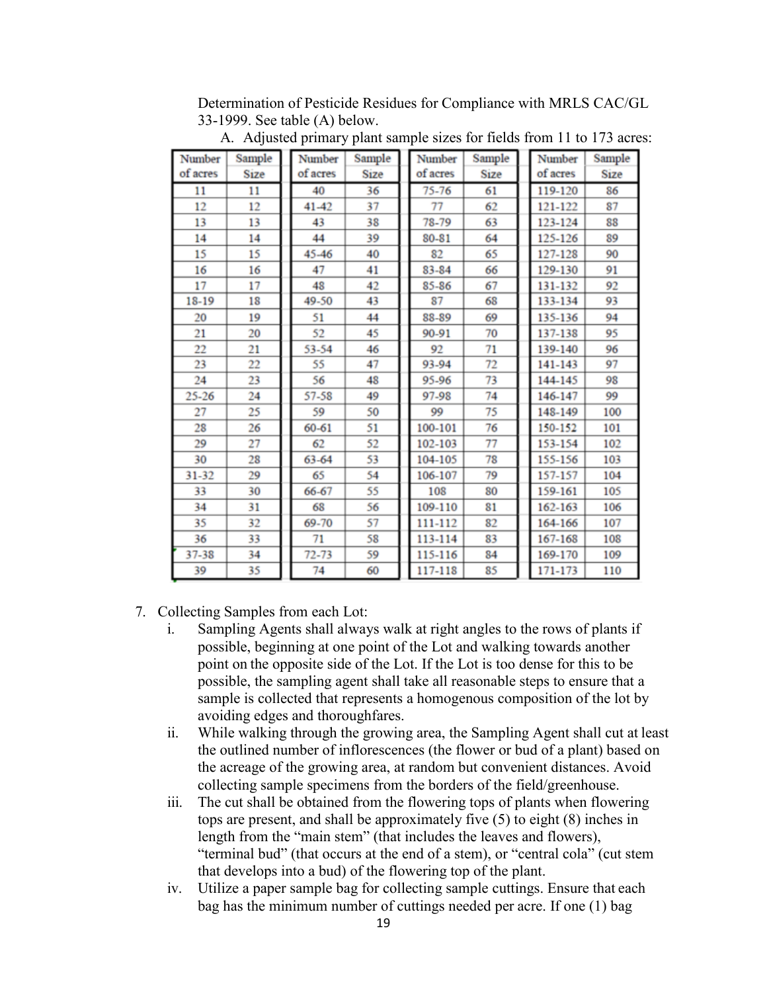Determination of Pesticide Residues for Compliance with MRLS CAC/GL 33-1999. See table (A) below.

| Number   | Sample      | Number   | Sample      | Number    | Sample      | Number   | Sample      |
|----------|-------------|----------|-------------|-----------|-------------|----------|-------------|
| of acres | <b>Size</b> | of acres | <b>Size</b> | of acres  | <b>Size</b> | of acres | <b>Size</b> |
| 11       | 11          | 40       | 36          | $75 - 76$ | 61          | 119-120  | 86          |
| 12       | 12          | 41-42    | 37          | 77        | 62          | 121-122  | 87          |
| 13       | 13          | 43       | 38          | 78-79     | 63          | 123-124  | 88          |
| 14       | 14          | 44       | 39          | 80-81     | 64          | 125-126  | 89          |
| 15       | 15          | 45-46    | 40          | 82        | 65          | 127-128  | 90          |
| 16       | 16          | 47       | 41          | 83-84     | 66          | 129-130  | 91          |
| 17       | 17          | 48       | 42          | 85-86     | 67          | 131-132  | 92          |
| 18-19    | 18          | 49-50    | 43          | 87        | 68          | 133-134  | 93          |
| 20       | 19          | 51       | 44          | 88-89     | 69          | 135-136  | 94          |
| 21       | 20          | 52       | 45          | 90-91     | 70          | 137-138  | 95          |
| 22       | 21          | 53-54    | 46          | 92        | 71          | 139-140  | 96          |
| 23       | 22          | 55       | 47          | 93-94     | 72          | 141-143  | 97          |
| 24       | 23          | 56       | 48          | 95-96     | 73          | 144-145  | 98          |
| 25-26    | 24          | 57-58    | 49          | 97-98     | 74          | 146-147  | 99          |
| 27       | 25          | 59       | 50          | 99        | 75          | 148-149  | 100         |
| 28       | 26          | 60-61    | 51          | 100-101   | 76          | 150-152  | 101         |
| 29       | 27          | 62       | 52          | 102-103   | 77          | 153-154  | 102         |
| 30       | 28          | 63-64    | 53          | 104-105   | 78          | 155-156  | 103         |
| 31-32    | 29          | 65       | 54          | 106-107   | 79          | 157-157  | 104         |
| 33       | 30          | 66-67    | 55          | 108       | 80          | 159-161  | 105         |
| 34       | 31          | 68       | 56          | 109-110   | 81          | 162-163  | 106         |
| 35       | 32          | 69-70    | 57          | 111-112   | 82          | 164-166  | 107         |
| 36       | 33          | 71       | 58          | 113-114   | 83          | 167-168  | 108         |
| 37-38    | 34          | 72-73    | 59          | 115-116   | 84          | 169-170  | 109         |
| 39       | 35          | 74       | 60          | 117-118   | 85          | 171-173  | 110         |

A. Adjusted primary plant sample sizes for fields from 11 to 173 acres:

#### 7. Collecting Samples from each Lot:

- i. Sampling Agents shall always walk at right angles to the rows of plants if possible, beginning at one point of the Lot and walking towards another point on the opposite side of the Lot. If the Lot is too dense for this to be possible, the sampling agent shall take all reasonable steps to ensure that a sample is collected that represents a homogenous composition of the lot by avoiding edges and thoroughfares.
- ii. While walking through the growing area, the Sampling Agent shall cut at least the outlined number of inflorescences (the flower or bud of a plant) based on the acreage of the growing area, at random but convenient distances. Avoid collecting sample specimens from the borders of the field/greenhouse.
- iii. The cut shall be obtained from the flowering tops of plants when flowering tops are present, and shall be approximately five (5) to eight (8) inches in length from the "main stem" (that includes the leaves and flowers), "terminal bud" (that occurs at the end of a stem), or "central cola" (cut stem that develops into a bud) of the flowering top of the plant.
- iv. Utilize a paper sample bag for collecting sample cuttings. Ensure that each bag has the minimum number of cuttings needed per acre. If one (1) bag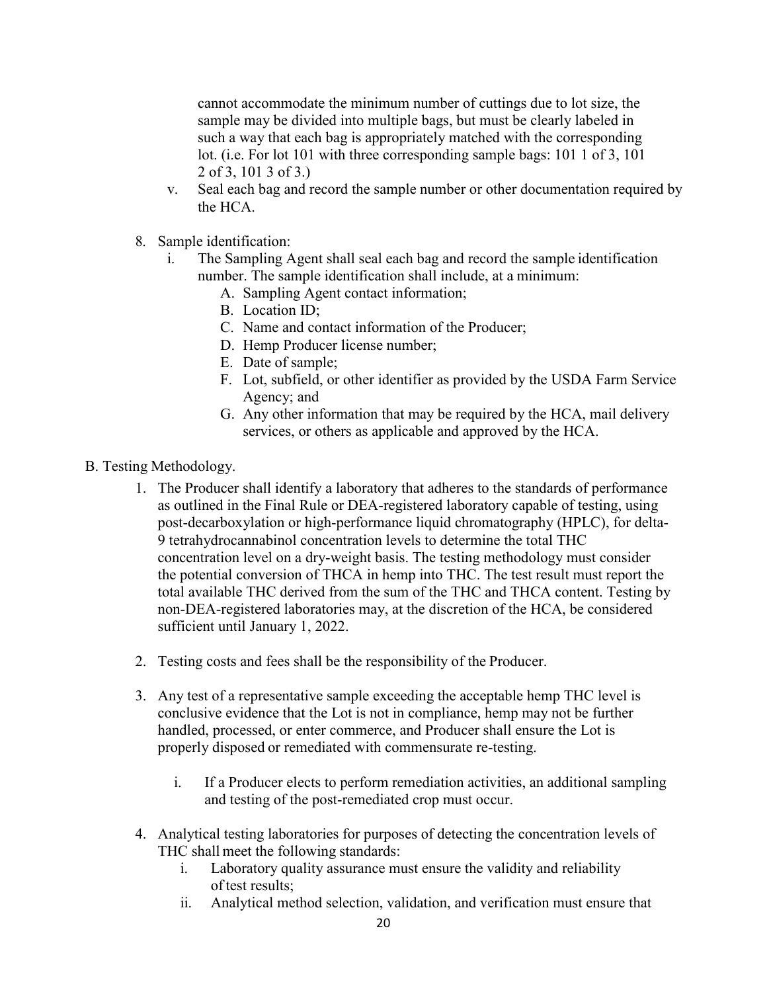cannot accommodate the minimum number of cuttings due to lot size, the sample may be divided into multiple bags, but must be clearly labeled in such a way that each bag is appropriately matched with the corresponding lot. (i.e. For lot 101 with three corresponding sample bags: 101 1 of 3, 101 2 of 3, 101 3 of 3.)

- v. Seal each bag and record the sample number or other documentation required by the HCA.
- 8. Sample identification:
	- i. The Sampling Agent shall seal each bag and record the sample identification number. The sample identification shall include, at a minimum:
		- A. Sampling Agent contact information;
		- B. Location ID;
		- C. Name and contact information of the Producer;
		- D. Hemp Producer license number;
		- E. Date of sample;
		- F. Lot, subfield, or other identifier as provided by the USDA Farm Service Agency; and
		- G. Any other information that may be required by the HCA, mail delivery services, or others as applicable and approved by the HCA.
- B. Testing Methodology.
	- 1. The Producer shall identify a laboratory that adheres to the standards of performance as outlined in the Final Rule or DEA-registered laboratory capable of testing, using post-decarboxylation or high-performance liquid chromatography (HPLC), for delta-9 tetrahydrocannabinol concentration levels to determine the total THC concentration level on a dry-weight basis. The testing methodology must consider the potential conversion of THCA in hemp into THC. The test result must report the total available THC derived from the sum of the THC and THCA content. Testing by non-DEA-registered laboratories may, at the discretion of the HCA, be considered sufficient until January 1, 2022.
	- 2. Testing costs and fees shall be the responsibility of the Producer.
	- 3. Any test of a representative sample exceeding the acceptable hemp THC level is conclusive evidence that the Lot is not in compliance, hemp may not be further handled, processed, or enter commerce, and Producer shall ensure the Lot is properly disposed or remediated with commensurate re-testing.
		- i. If a Producer elects to perform remediation activities, an additional sampling and testing of the post-remediated crop must occur.
	- 4. Analytical testing laboratories for purposes of detecting the concentration levels of THC shall meet the following standards:
		- i. Laboratory quality assurance must ensure the validity and reliability of test results;
		- ii. Analytical method selection, validation, and verification must ensure that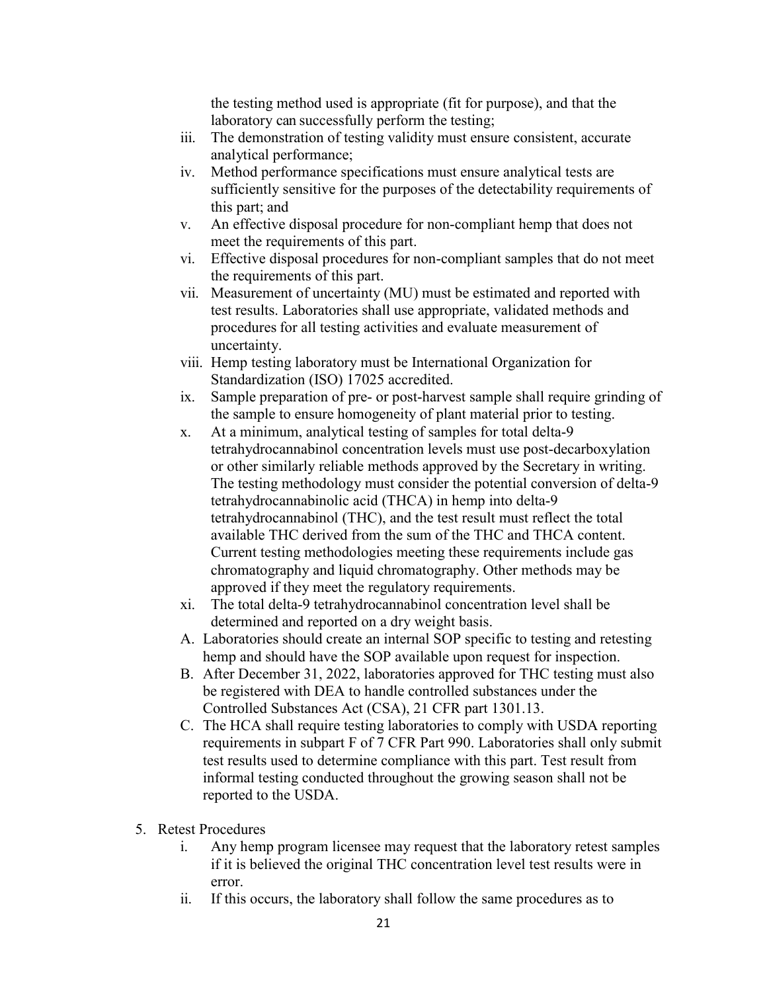the testing method used is appropriate (fit for purpose), and that the laboratory can successfully perform the testing;

- iii. The demonstration of testing validity must ensure consistent, accurate analytical performance;
- iv. Method performance specifications must ensure analytical tests are sufficiently sensitive for the purposes of the detectability requirements of this part; and
- v. An effective disposal procedure for non-compliant hemp that does not meet the requirements of this part.
- vi. Effective disposal procedures for non-compliant samples that do not meet the requirements of this part.
- vii. Measurement of uncertainty (MU) must be estimated and reported with test results. Laboratories shall use appropriate, validated methods and procedures for all testing activities and evaluate measurement of uncertainty.
- viii. Hemp testing laboratory must be International Organization for Standardization (ISO) 17025 accredited.
- ix. Sample preparation of pre- or post-harvest sample shall require grinding of the sample to ensure homogeneity of plant material prior to testing.
- x. At a minimum, analytical testing of samples for total delta-9 tetrahydrocannabinol concentration levels must use post-decarboxylation or other similarly reliable methods approved by the Secretary in writing. The testing methodology must consider the potential conversion of delta-9 tetrahydrocannabinolic acid (THCA) in hemp into delta-9 tetrahydrocannabinol (THC), and the test result must reflect the total available THC derived from the sum of the THC and THCA content. Current testing methodologies meeting these requirements include gas chromatography and liquid chromatography. Other methods may be approved if they meet the regulatory requirements.
- xi. The total delta-9 tetrahydrocannabinol concentration level shall be determined and reported on a dry weight basis.
- A. Laboratories should create an internal SOP specific to testing and retesting hemp and should have the SOP available upon request for inspection.
- B. After December 31, 2022, laboratories approved for THC testing must also be registered with DEA to handle controlled substances under the Controlled Substances Act (CSA), 21 CFR part 1301.13.
- C. The HCA shall require testing laboratories to comply with USDA reporting requirements in subpart F of 7 CFR Part 990. Laboratories shall only submit test results used to determine compliance with this part. Test result from informal testing conducted throughout the growing season shall not be reported to the USDA.
- 5. Retest Procedures
	- i. Any hemp program licensee may request that the laboratory retest samples if it is believed the original THC concentration level test results were in error.
	- ii. If this occurs, the laboratory shall follow the same procedures as to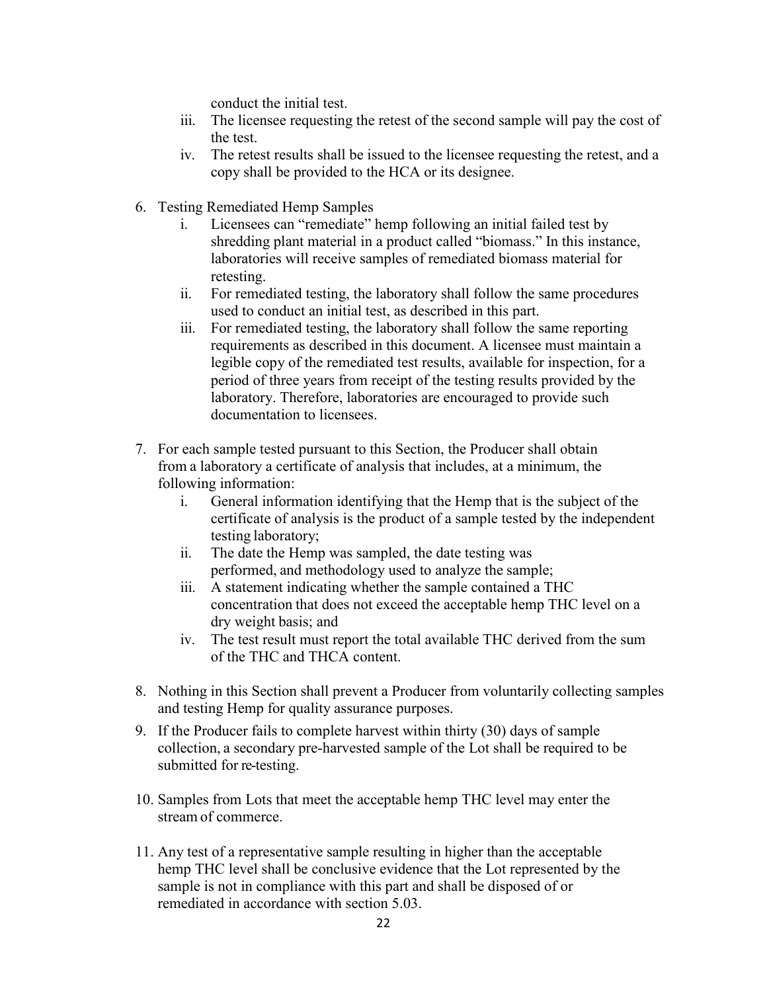conduct the initial test.

- iii. The licensee requesting the retest of the second sample will pay the cost of the test.
- iv. The retest results shall be issued to the licensee requesting the retest, and a copy shall be provided to the HCA or its designee.
- 6. Testing Remediated Hemp Samples
	- i. Licensees can "remediate" hemp following an initial failed test by shredding plant material in a product called "biomass." In this instance, laboratories will receive samples of remediated biomass material for retesting.
	- ii. For remediated testing, the laboratory shall follow the same procedures used to conduct an initial test, as described in this part.
	- iii. For remediated testing, the laboratory shall follow the same reporting requirements as described in this document. A licensee must maintain a legible copy of the remediated test results, available for inspection, for a period of three years from receipt of the testing results provided by the laboratory. Therefore, laboratories are encouraged to provide such documentation to licensees.
- 7. For each sample tested pursuant to this Section, the Producer shall obtain from a laboratory a certificate of analysis that includes, at a minimum, the following information:
	- i. General information identifying that the Hemp that is the subject of the certificate of analysis is the product of a sample tested by the independent testing laboratory;
	- ii. The date the Hemp was sampled, the date testing was performed, and methodology used to analyze the sample;
	- iii. A statement indicating whether the sample contained a THC concentration that does not exceed the acceptable hemp THC level on a dry weight basis; and
	- iv. The test result must report the total available THC derived from the sum of the THC and THCA content.
- 8. Nothing in this Section shall prevent a Producer from voluntarily collecting samples and testing Hemp for quality assurance purposes.
- 9. If the Producer fails to complete harvest within thirty (30) days of sample collection, a secondary pre-harvested sample of the Lot shall be required to be submitted for re-testing.
- 10. Samples from Lots that meet the acceptable hemp THC level may enter the stream of commerce.
- 11. Any test of a representative sample resulting in higher than the acceptable hemp THC level shall be conclusive evidence that the Lot represented by the sample is not in compliance with this part and shall be disposed of or remediated in accordance with section 5.03.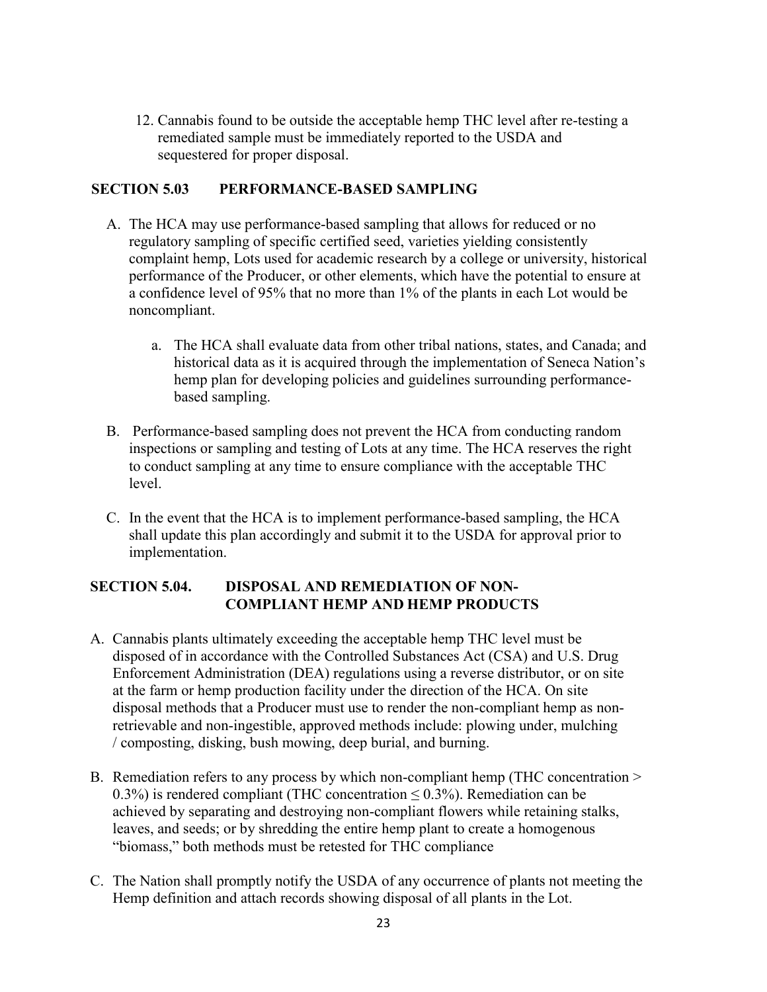12. Cannabis found to be outside the acceptable hemp THC level after re-testing a remediated sample must be immediately reported to the USDA and sequestered for proper disposal.

### **SECTION 5.03 PERFORMANCE-BASED SAMPLING**

- A. The HCA may use performance-based sampling that allows for reduced or no regulatory sampling of specific certified seed, varieties yielding consistently complaint hemp, Lots used for academic research by a college or university, historical performance of the Producer, or other elements, which have the potential to ensure at a confidence level of 95% that no more than 1% of the plants in each Lot would be noncompliant.
	- a. The HCA shall evaluate data from other tribal nations, states, and Canada; and historical data as it is acquired through the implementation of Seneca Nation's hemp plan for developing policies and guidelines surrounding performancebased sampling.
- B. Performance-based sampling does not prevent the HCA from conducting random inspections or sampling and testing of Lots at any time. The HCA reserves the right to conduct sampling at any time to ensure compliance with the acceptable THC level.
- C. In the event that the HCA is to implement performance-based sampling, the HCA shall update this plan accordingly and submit it to the USDA for approval prior to implementation.

# **SECTION 5.04. DISPOSAL AND REMEDIATION OF NON-COMPLIANT HEMP AND HEMP PRODUCTS**

- A. Cannabis plants ultimately exceeding the acceptable hemp THC level must be disposed of in accordance with the Controlled Substances Act (CSA) and U.S. Drug Enforcement Administration (DEA) regulations using a reverse distributor, or on site at the farm or hemp production facility under the direction of the HCA. On site disposal methods that a Producer must use to render the non-compliant hemp as nonretrievable and non-ingestible, approved methods include: plowing under, mulching / composting, disking, bush mowing, deep burial, and burning.
- B. Remediation refers to any process by which non-compliant hemp (THC concentration > 0.3%) is rendered compliant (THC concentration  $\leq$  0.3%). Remediation can be achieved by separating and destroying non-compliant flowers while retaining stalks, leaves, and seeds; or by shredding the entire hemp plant to create a homogenous "biomass," both methods must be retested for THC compliance
- C. The Nation shall promptly notify the USDA of any occurrence of plants not meeting the Hemp definition and attach records showing disposal of all plants in the Lot.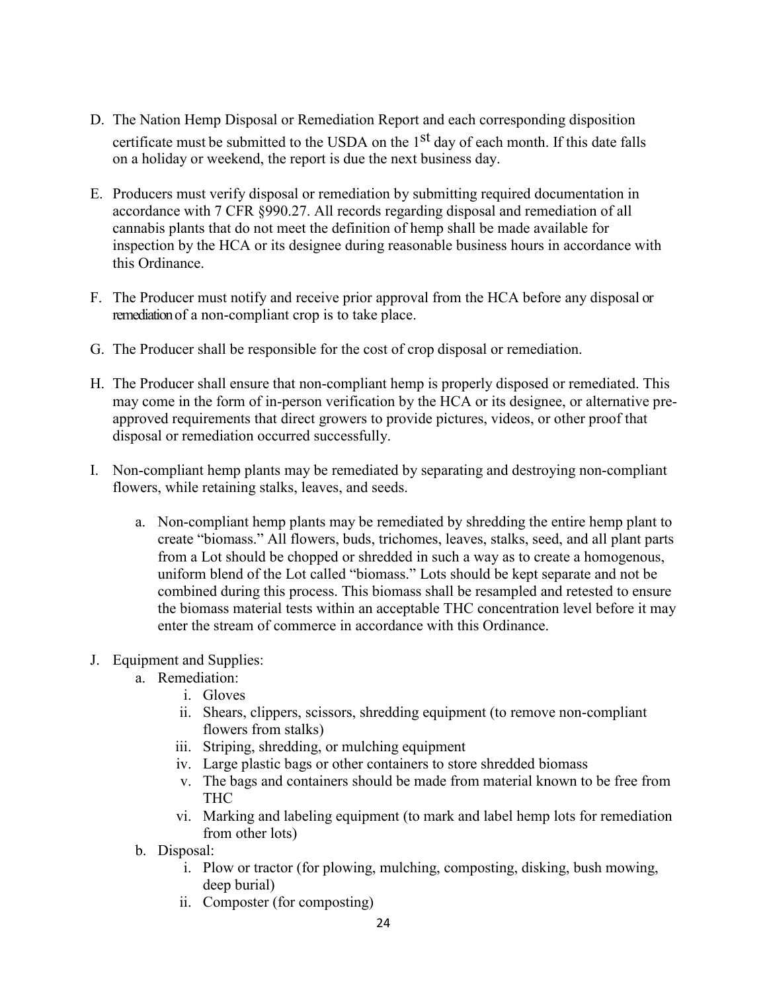- D. The Nation Hemp Disposal or Remediation Report and each corresponding disposition certificate must be submitted to the USDA on the  $1<sup>st</sup>$  day of each month. If this date falls on a holiday or weekend, the report is due the next business day.
- E. Producers must verify disposal or remediation by submitting required documentation in accordance with 7 CFR §990.27. All records regarding disposal and remediation of all cannabis plants that do not meet the definition of hemp shall be made available for inspection by the HCA or its designee during reasonable business hours in accordance with this Ordinance.
- F. The Producer must notify and receive prior approval from the HCA before any disposal or remediation of a non-compliant crop is to take place.
- G. The Producer shall be responsible for the cost of crop disposal or remediation.
- H. The Producer shall ensure that non-compliant hemp is properly disposed or remediated. This may come in the form of in-person verification by the HCA or its designee, or alternative preapproved requirements that direct growers to provide pictures, videos, or other proof that disposal or remediation occurred successfully.
- I. Non-compliant hemp plants may be remediated by separating and destroying non-compliant flowers, while retaining stalks, leaves, and seeds.
	- a. Non-compliant hemp plants may be remediated by shredding the entire hemp plant to create "biomass." All flowers, buds, trichomes, leaves, stalks, seed, and all plant parts from a Lot should be chopped or shredded in such a way as to create a homogenous, uniform blend of the Lot called "biomass." Lots should be kept separate and not be combined during this process. This biomass shall be resampled and retested to ensure the biomass material tests within an acceptable THC concentration level before it may enter the stream of commerce in accordance with this Ordinance.
- J. Equipment and Supplies:
	- a. Remediation:
		- i. Gloves
			- ii. Shears, clippers, scissors, shredding equipment (to remove non-compliant flowers from stalks)
			- iii. Striping, shredding, or mulching equipment
			- iv. Large plastic bags or other containers to store shredded biomass
			- v. The bags and containers should be made from material known to be free from THC
			- vi. Marking and labeling equipment (to mark and label hemp lots for remediation from other lots)
	- b. Disposal:
		- i. Plow or tractor (for plowing, mulching, composting, disking, bush mowing, deep burial)
		- ii. Composter (for composting)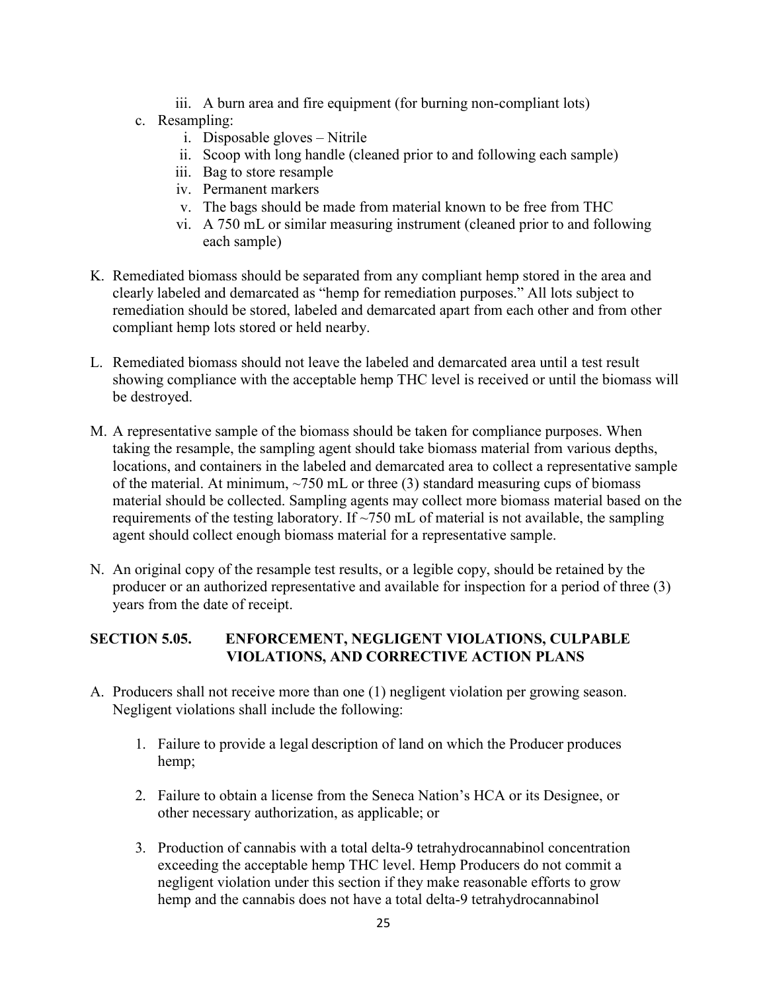- iii. A burn area and fire equipment (for burning non-compliant lots)
- c. Resampling:
	- i. Disposable gloves Nitrile
	- ii. Scoop with long handle (cleaned prior to and following each sample)
	- iii. Bag to store resample
	- iv. Permanent markers
	- v. The bags should be made from material known to be free from THC
	- vi. A 750 mL or similar measuring instrument (cleaned prior to and following each sample)
- K. Remediated biomass should be separated from any compliant hemp stored in the area and clearly labeled and demarcated as "hemp for remediation purposes." All lots subject to remediation should be stored, labeled and demarcated apart from each other and from other compliant hemp lots stored or held nearby.
- L. Remediated biomass should not leave the labeled and demarcated area until a test result showing compliance with the acceptable hemp THC level is received or until the biomass will be destroyed.
- M. A representative sample of the biomass should be taken for compliance purposes. When taking the resample, the sampling agent should take biomass material from various depths, locations, and containers in the labeled and demarcated area to collect a representative sample of the material. At minimum,  $\sim$ 750 mL or three (3) standard measuring cups of biomass material should be collected. Sampling agents may collect more biomass material based on the requirements of the testing laboratory. If  $\sim$ 750 mL of material is not available, the sampling agent should collect enough biomass material for a representative sample.
- N. An original copy of the resample test results, or a legible copy, should be retained by the producer or an authorized representative and available for inspection for a period of three (3) years from the date of receipt.

# **SECTION 5.05. ENFORCEMENT, NEGLIGENT VIOLATIONS, CULPABLE VIOLATIONS, AND CORRECTIVE ACTION PLANS**

- A. Producers shall not receive more than one (1) negligent violation per growing season. Negligent violations shall include the following:
	- 1. Failure to provide a legal description of land on which the Producer produces hemp;
	- 2. Failure to obtain a license from the Seneca Nation's HCA or its Designee, or other necessary authorization, as applicable; or
	- 3. Production of cannabis with a total delta-9 tetrahydrocannabinol concentration exceeding the acceptable hemp THC level. Hemp Producers do not commit a negligent violation under this section if they make reasonable efforts to grow hemp and the cannabis does not have a total delta-9 tetrahydrocannabinol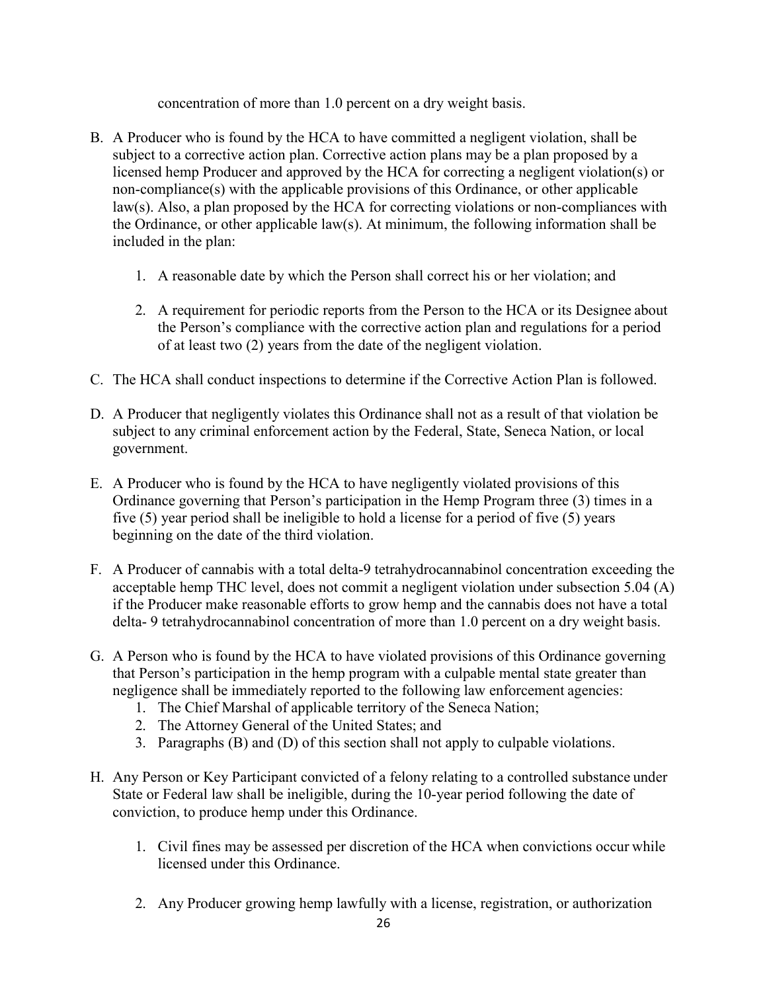concentration of more than 1.0 percent on a dry weight basis.

- B. A Producer who is found by the HCA to have committed a negligent violation, shall be subject to a corrective action plan. Corrective action plans may be a plan proposed by a licensed hemp Producer and approved by the HCA for correcting a negligent violation(s) or non-compliance(s) with the applicable provisions of this Ordinance, or other applicable law(s). Also, a plan proposed by the HCA for correcting violations or non-compliances with the Ordinance, or other applicable law(s). At minimum, the following information shall be included in the plan:
	- 1. A reasonable date by which the Person shall correct his or her violation; and
	- 2. A requirement for periodic reports from the Person to the HCA or its Designee about the Person's compliance with the corrective action plan and regulations for a period of at least two (2) years from the date of the negligent violation.
- C. The HCA shall conduct inspections to determine if the Corrective Action Plan is followed.
- D. A Producer that negligently violates this Ordinance shall not as a result of that violation be subject to any criminal enforcement action by the Federal, State, Seneca Nation, or local government.
- E. A Producer who is found by the HCA to have negligently violated provisions of this Ordinance governing that Person's participation in the Hemp Program three (3) times in a five (5) year period shall be ineligible to hold a license for a period of five (5) years beginning on the date of the third violation.
- F. A Producer of cannabis with a total delta-9 tetrahydrocannabinol concentration exceeding the acceptable hemp THC level, does not commit a negligent violation under subsection 5.04 (A) if the Producer make reasonable efforts to grow hemp and the cannabis does not have a total delta- 9 tetrahydrocannabinol concentration of more than 1.0 percent on a dry weight basis.
- G. A Person who is found by the HCA to have violated provisions of this Ordinance governing that Person's participation in the hemp program with a culpable mental state greater than negligence shall be immediately reported to the following law enforcement agencies:
	- 1. The Chief Marshal of applicable territory of the Seneca Nation;
	- 2. The Attorney General of the United States; and
	- 3. Paragraphs (B) and (D) of this section shall not apply to culpable violations.
- H. Any Person or Key Participant convicted of a felony relating to a controlled substance under State or Federal law shall be ineligible, during the 10-year period following the date of conviction, to produce hemp under this Ordinance.
	- 1. Civil fines may be assessed per discretion of the HCA when convictions occur while licensed under this Ordinance.
	- 2. Any Producer growing hemp lawfully with a license, registration, or authorization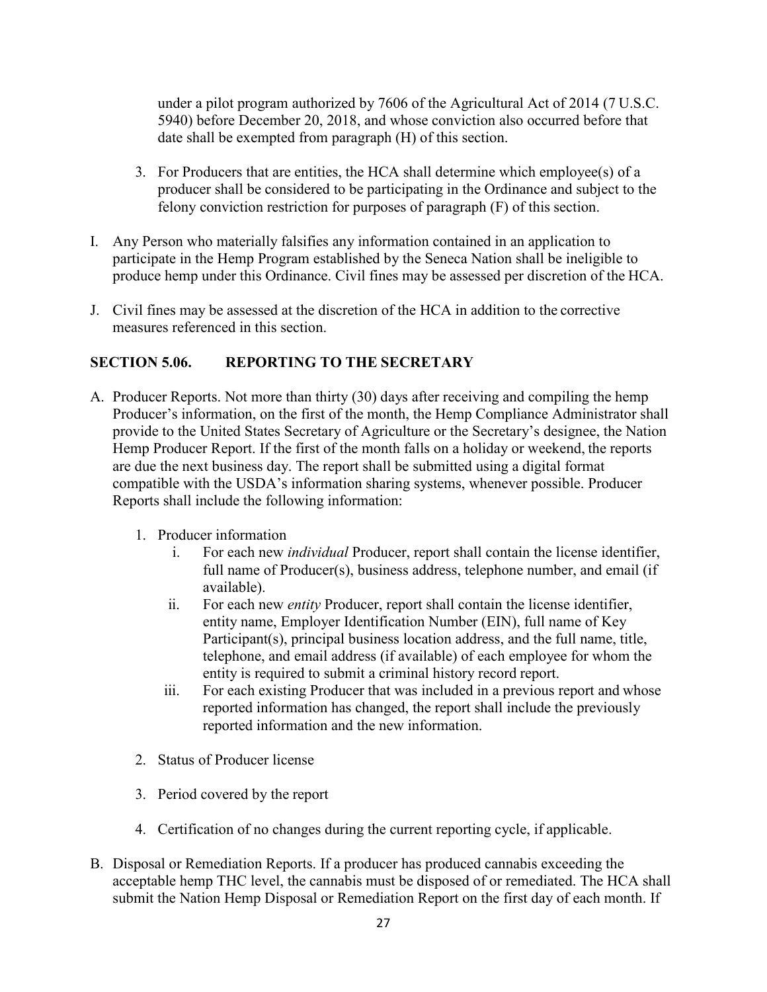under a pilot program authorized by 7606 of the Agricultural Act of 2014 (7 U.S.C. 5940) before December 20, 2018, and whose conviction also occurred before that date shall be exempted from paragraph (H) of this section.

- 3. For Producers that are entities, the HCA shall determine which employee(s) of a producer shall be considered to be participating in the Ordinance and subject to the felony conviction restriction for purposes of paragraph (F) of this section.
- I. Any Person who materially falsifies any information contained in an application to participate in the Hemp Program established by the Seneca Nation shall be ineligible to produce hemp under this Ordinance. Civil fines may be assessed per discretion of the HCA.
- J. Civil fines may be assessed at the discretion of the HCA in addition to the corrective measures referenced in this section.

### **SECTION 5.06. REPORTING TO THE SECRETARY**

- A. Producer Reports. Not more than thirty (30) days after receiving and compiling the hemp Producer's information, on the first of the month, the Hemp Compliance Administrator shall provide to the United States Secretary of Agriculture or the Secretary's designee, the Nation Hemp Producer Report. If the first of the month falls on a holiday or weekend, the reports are due the next business day. The report shall be submitted using a digital format compatible with the USDA's information sharing systems, whenever possible. Producer Reports shall include the following information:
	- 1. Producer information
		- i. For each new *individual* Producer, report shall contain the license identifier, full name of Producer(s), business address, telephone number, and email (if available).
		- ii. For each new *entity* Producer, report shall contain the license identifier, entity name, Employer Identification Number (EIN), full name of Key Participant(s), principal business location address, and the full name, title, telephone, and email address (if available) of each employee for whom the entity is required to submit a criminal history record report.
		- iii. For each existing Producer that was included in a previous report and whose reported information has changed, the report shall include the previously reported information and the new information.
	- 2. Status of Producer license
	- 3. Period covered by the report
	- 4. Certification of no changes during the current reporting cycle, if applicable.
- B. Disposal or Remediation Reports. If a producer has produced cannabis exceeding the acceptable hemp THC level, the cannabis must be disposed of or remediated. The HCA shall submit the Nation Hemp Disposal or Remediation Report on the first day of each month. If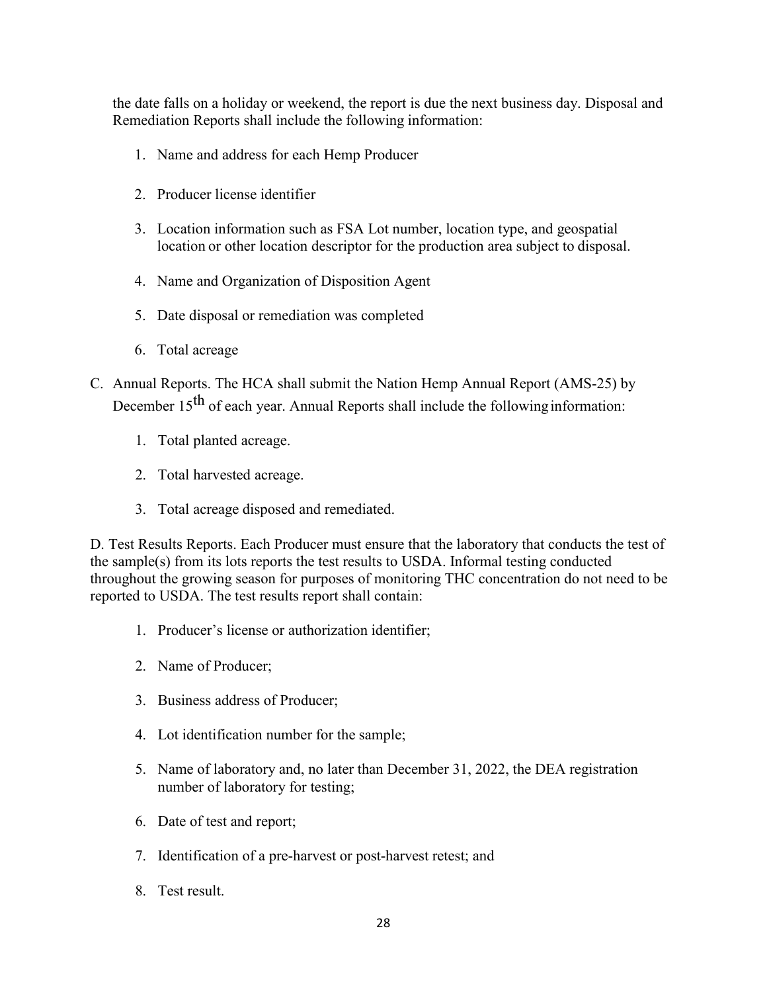the date falls on a holiday or weekend, the report is due the next business day. Disposal and Remediation Reports shall include the following information:

- 1. Name and address for each Hemp Producer
- 2. Producer license identifier
- 3. Location information such as FSA Lot number, location type, and geospatial location or other location descriptor for the production area subject to disposal.
- 4. Name and Organization of Disposition Agent
- 5. Date disposal or remediation was completed
- 6. Total acreage
- C. Annual Reports. The HCA shall submit the Nation Hemp Annual Report (AMS-25) by December  $15<sup>th</sup>$  of each year. Annual Reports shall include the following information:
	- 1. Total planted acreage.
	- 2. Total harvested acreage.
	- 3. Total acreage disposed and remediated.

D. Test Results Reports. Each Producer must ensure that the laboratory that conducts the test of the sample(s) from its lots reports the test results to USDA. Informal testing conducted throughout the growing season for purposes of monitoring THC concentration do not need to be reported to USDA. The test results report shall contain:

- 1. Producer's license or authorization identifier;
- 2. Name of Producer;
- 3. Business address of Producer;
- 4. Lot identification number for the sample;
- 5. Name of laboratory and, no later than December 31, 2022, the DEA registration number of laboratory for testing;
- 6. Date of test and report;
- 7. Identification of a pre-harvest or post-harvest retest; and
- 8. Test result.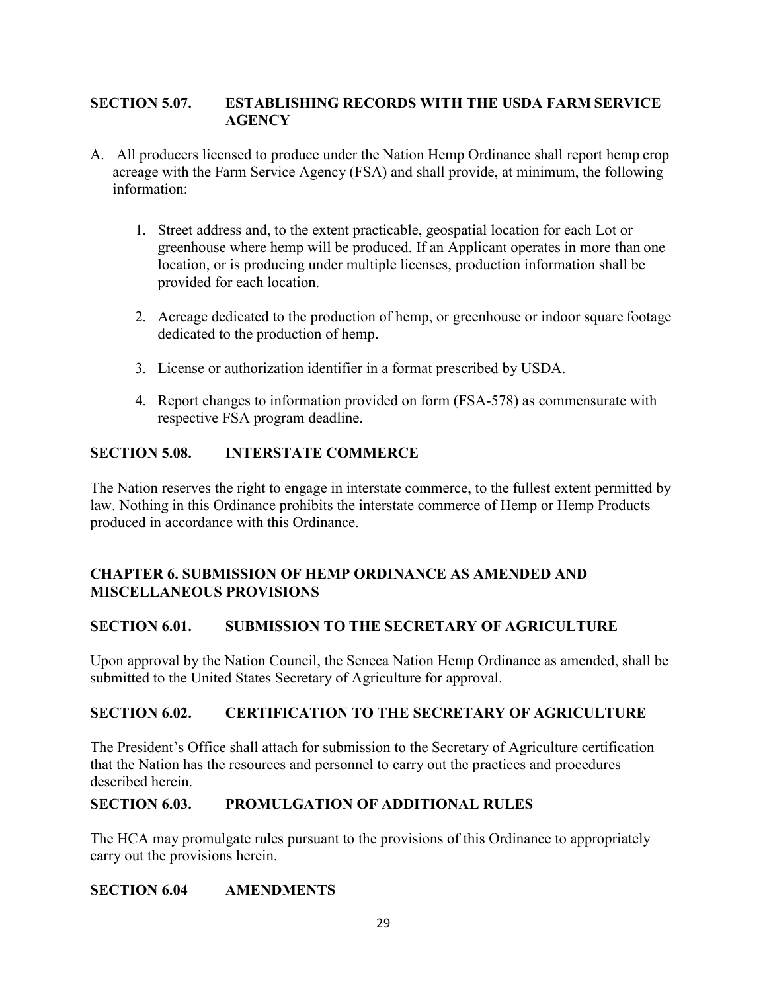### **SECTION 5.07. ESTABLISHING RECORDS WITH THE USDA FARM SERVICE AGENCY**

- A. All producers licensed to produce under the Nation Hemp Ordinance shall report hemp crop acreage with the Farm Service Agency (FSA) and shall provide, at minimum, the following information:
	- 1. Street address and, to the extent practicable, geospatial location for each Lot or greenhouse where hemp will be produced. If an Applicant operates in more than one location, or is producing under multiple licenses, production information shall be provided for each location.
	- 2. Acreage dedicated to the production of hemp, or greenhouse or indoor square footage dedicated to the production of hemp.
	- 3. License or authorization identifier in a format prescribed by USDA.
	- 4. Report changes to information provided on form (FSA-578) as commensurate with respective FSA program deadline.

### **SECTION 5.08. INTERSTATE COMMERCE**

The Nation reserves the right to engage in interstate commerce, to the fullest extent permitted by law. Nothing in this Ordinance prohibits the interstate commerce of Hemp or Hemp Products produced in accordance with this Ordinance.

### **CHAPTER 6. SUBMISSION OF HEMP ORDINANCE AS AMENDED AND MISCELLANEOUS PROVISIONS**

### **SECTION 6.01. SUBMISSION TO THE SECRETARY OF AGRICULTURE**

Upon approval by the Nation Council, the Seneca Nation Hemp Ordinance as amended, shall be submitted to the United States Secretary of Agriculture for approval.

### **SECTION 6.02. CERTIFICATION TO THE SECRETARY OF AGRICULTURE**

The President's Office shall attach for submission to the Secretary of Agriculture certification that the Nation has the resources and personnel to carry out the practices and procedures described herein.

### **SECTION 6.03. PROMULGATION OF ADDITIONAL RULES**

The HCA may promulgate rules pursuant to the provisions of this Ordinance to appropriately carry out the provisions herein.

### **SECTION 6.04 AMENDMENTS**